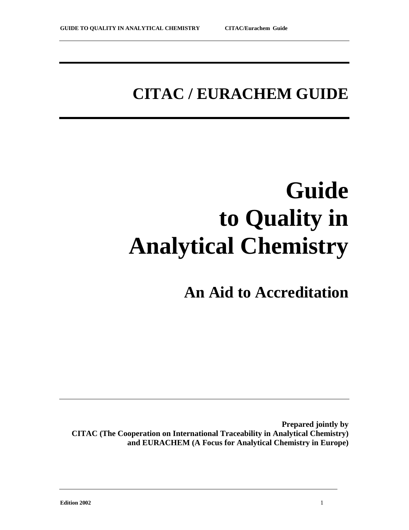## **CITAC / EURACHEM GUIDE**

# **Guide to Quality in Analytical Chemistry**

**An Aid to Accreditation**

**Prepared jointly by CITAC (The Cooperation on International Traceability in Analytical Chemistry) and EURACHEM (A Focus for Analytical Chemistry in Europe)**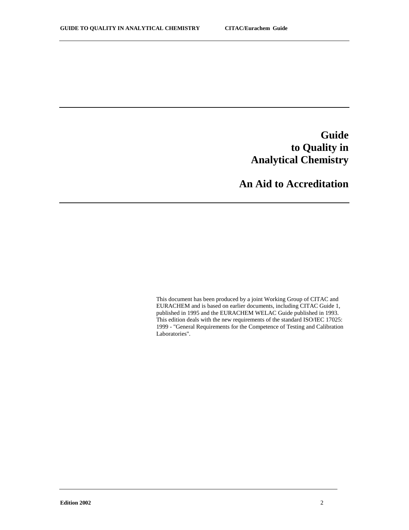## **Guide to Quality in Analytical Chemistry**

## **An Aid to Accreditation**

This document has been produced by a joint Working Group of CITAC and EURACHEM and is based on earlier documents, including CITAC Guide 1, published in 1995 and the EURACHEM WELAC Guide published in 1993. This edition deals with the new requirements of the standard ISO/IEC 17025: 1999 - "General Requirements for the Competence of Testing and Calibration Laboratories".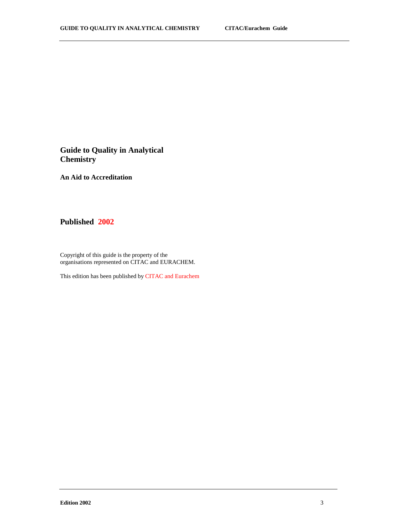**Guide to Quality in Analytical Chemistry**

**An Aid to Accreditation**

#### **Published 2002**

Copyright of this guide is the property of the organisations represented on CITAC and EURACHEM.

This edition has been published by CITAC and Eurachem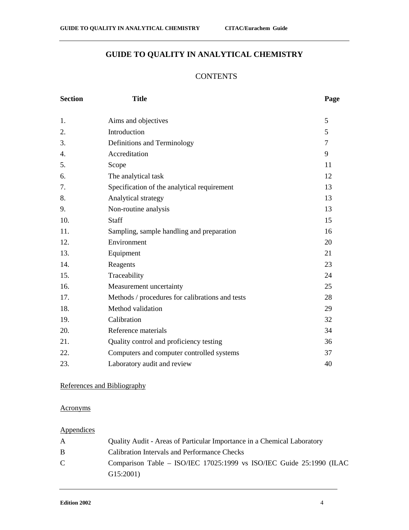## **GUIDE TO QUALITY IN ANALYTICAL CHEMISTRY**

## **CONTENTS**

| <b>Section</b> | <b>Title</b>                                    | Page           |
|----------------|-------------------------------------------------|----------------|
| 1.             | Aims and objectives                             | 5              |
| 2.             | Introduction                                    | 5              |
| 3.             | Definitions and Terminology                     | $\overline{7}$ |
| 4.             | Accreditation                                   | 9              |
| 5.             | Scope                                           | 11             |
| 6.             | The analytical task                             | 12             |
| 7.             | Specification of the analytical requirement     | 13             |
| 8.             | Analytical strategy                             | 13             |
| 9.             | Non-routine analysis                            | 13             |
| 10.            | Staff                                           | 15             |
| 11.            | Sampling, sample handling and preparation       | 16             |
| 12.            | Environment                                     | 20             |
| 13.            | Equipment                                       | 21             |
| 14.            | Reagents                                        | 23             |
| 15.            | Traceability                                    | 24             |
| 16.            | Measurement uncertainty                         | 25             |
| 17.            | Methods / procedures for calibrations and tests | 28             |
| 18.            | Method validation                               | 29             |
| 19.            | Calibration                                     | 32             |
| 20.            | Reference materials                             | 34             |
| 21.            | Quality control and proficiency testing         | 36             |
| 22.            | Computers and computer controlled systems       | 37             |
| 23.            | Laboratory audit and review                     | 40             |
|                |                                                 |                |

#### References and Bibliography

#### Acronyms

#### **Appendices**

| A            | Quality Audit - Areas of Particular Importance in a Chemical Laboratory |
|--------------|-------------------------------------------------------------------------|
| <sub>B</sub> | Calibration Intervals and Performance Checks                            |
| C            | Comparison Table – ISO/IEC 17025:1999 vs ISO/IEC Guide 25:1990 (ILAC    |
|              | G15:2001)                                                               |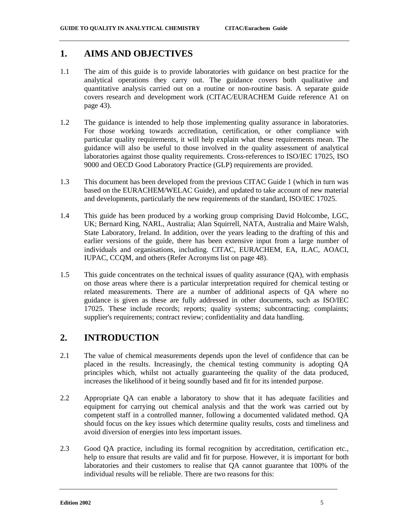## **1. AIMS AND OBJECTIVES**

- 1.1 The aim of this guide is to provide laboratories with guidance on best practice for the analytical operations they carry out. The guidance covers both qualitative and quantitative analysis carried out on a routine or non-routine basis. A separate guide covers research and development work (CITAC/EURACHEM Guide reference A1 on page 43).
- 1.2 The guidance is intended to help those implementing quality assurance in laboratories. For those working towards accreditation, certification, or other compliance with particular quality requirements, it will help explain what these requirements mean. The guidance will also be useful to those involved in the quality assessment of analytical laboratories against those quality requirements. Cross-references to ISO/IEC 17025, ISO 9000 and OECD Good Laboratory Practice (GLP) requirements are provided.
- 1.3 This document has been developed from the previous CITAC Guide 1 (which in turn was based on the EURACHEM/WELAC Guide), and updated to take account of new material and developments, particularly the new requirements of the standard, ISO/IEC 17025.
- 1.4 This guide has been produced by a working group comprising David Holcombe, LGC, UK; Bernard King, NARL, Australia; Alan Squirrell, NATA, Australia and Maire Walsh, State Laboratory, Ireland. In addition, over the years leading to the drafting of this and earlier versions of the guide, there has been extensive input from a large number of individuals and organisations, including. CITAC, EURACHEM, EA, ILAC, AOACI, IUPAC, CCQM, and others (Refer Acronyms list on page 48).
- 1.5 This guide concentrates on the technical issues of quality assurance (QA), with emphasis on those areas where there is a particular interpretation required for chemical testing or related measurements. There are a number of additional aspects of QA where no guidance is given as these are fully addressed in other documents, such as ISO/IEC 17025. These include records; reports; quality systems; subcontracting; complaints; supplier's requirements; contract review; confidentiality and data handling.

## **2. INTRODUCTION**

- 2.1 The value of chemical measurements depends upon the level of confidence that can be placed in the results. Increasingly, the chemical testing community is adopting QA principles which, whilst not actually guaranteeing the quality of the data produced, increases the likelihood of it being soundly based and fit for its intended purpose.
- 2.2 Appropriate QA can enable a laboratory to show that it has adequate facilities and equipment for carrying out chemical analysis and that the work was carried out by competent staff in a controlled manner, following a documented validated method. QA should focus on the key issues which determine quality results, costs and timeliness and avoid diversion of energies into less important issues.
- 2.3 Good QA practice, including its formal recognition by accreditation, certification etc., help to ensure that results are valid and fit for purpose. However, it is important for both laboratories and their customers to realise that QA cannot guarantee that 100% of the individual results will be reliable. There are two reasons for this: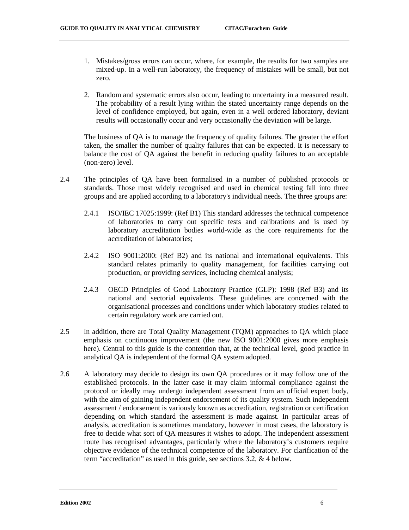- 1. Mistakes/gross errors can occur, where, for example, the results for two samples are mixed-up. In a well-run laboratory, the frequency of mistakes will be small, but not zero.
- 2. Random and systematic errors also occur, leading to uncertainty in a measured result. The probability of a result lying within the stated uncertainty range depends on the level of confidence employed, but again, even in a well ordered laboratory, deviant results will occasionally occur and very occasionally the deviation will be large.

The business of QA is to manage the frequency of quality failures. The greater the effort taken, the smaller the number of quality failures that can be expected. It is necessary to balance the cost of QA against the benefit in reducing quality failures to an acceptable (non-zero) level.

- 2.4 The principles of QA have been formalised in a number of published protocols or standards. Those most widely recognised and used in chemical testing fall into three groups and are applied according to a laboratory's individual needs. The three groups are:
	- 2.4.1 ISO/IEC 17025:1999: (Ref B1) This standard addresses the technical competence of laboratories to carry out specific tests and calibrations and is used by laboratory accreditation bodies world-wide as the core requirements for the accreditation of laboratories;
	- 2.4.2 ISO 9001:2000: (Ref B2) and its national and international equivalents. This standard relates primarily to quality management, for facilities carrying out production, or providing services, including chemical analysis;
	- 2.4.3 OECD Principles of Good Laboratory Practice (GLP): 1998 (Ref B3) and its national and sectorial equivalents. These guidelines are concerned with the organisational processes and conditions under which laboratory studies related to certain regulatory work are carried out.
- 2.5 In addition, there are Total Quality Management (TQM) approaches to QA which place emphasis on continuous improvement (the new ISO 9001:2000 gives more emphasis here). Central to this guide is the contention that, at the technical level, good practice in analytical QA is independent of the formal QA system adopted.
- 2.6 A laboratory may decide to design its own QA procedures or it may follow one of the established protocols. In the latter case it may claim informal compliance against the protocol or ideally may undergo independent assessment from an official expert body, with the aim of gaining independent endorsement of its quality system. Such independent assessment / endorsement is variously known as accreditation, registration or certification depending on which standard the assessment is made against. In particular areas of analysis, accreditation is sometimes mandatory, however in most cases, the laboratory is free to decide what sort of QA measures it wishes to adopt. The independent assessment route has recognised advantages, particularly where the laboratory's customers require objective evidence of the technical competence of the laboratory. For clarification of the term "accreditation" as used in this guide, see sections 3.2, & 4 below.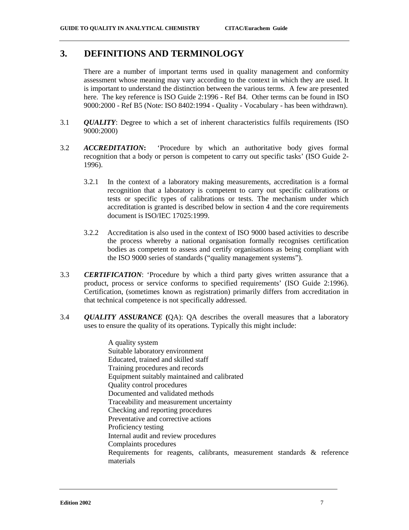## **3. DEFINITIONS AND TERMINOLOGY**

There are a number of important terms used in quality management and conformity assessment whose meaning may vary according to the context in which they are used. It is important to understand the distinction between the various terms. A few are presented here. The key reference is ISO Guide 2:1996 - Ref B4. Other terms can be found in ISO 9000:2000 - Ref B5 (Note: ISO 8402:1994 - Quality - Vocabulary - has been withdrawn).

- 3.1 *QUALITY*: Degree to which a set of inherent characteristics fulfils requirements (ISO 9000:2000)
- 3.2 *ACCREDITATION***:** 'Procedure by which an authoritative body gives formal recognition that a body or person is competent to carry out specific tasks' (ISO Guide 2- 1996).
	- 3.2.1 In the context of a laboratory making measurements, accreditation is a formal recognition that a laboratory is competent to carry out specific calibrations or tests or specific types of calibrations or tests. The mechanism under which accreditation is granted is described below in section 4 and the core requirements document is ISO/IEC 17025:1999.
	- 3.2.2 Accreditation is also used in the context of ISO 9000 based activities to describe the process whereby a national organisation formally recognises certification bodies as competent to assess and certify organisations as being compliant with the ISO 9000 series of standards ("quality management systems").
- 3.3 *CERTIFICATION*: 'Procedure by which a third party gives written assurance that a product, process or service conforms to specified requirements' (ISO Guide 2:1996). Certification, (sometimes known as registration) primarily differs from accreditation in that technical competence is not specifically addressed.
- 3.4 *QUALITY ASSURANCE* **(**QA): QA describes the overall measures that a laboratory uses to ensure the quality of its operations. Typically this might include:

A quality system Suitable laboratory environment Educated, trained and skilled staff Training procedures and records Equipment suitably maintained and calibrated Quality control procedures Documented and validated methods Traceability and measurement uncertainty Checking and reporting procedures Preventative and corrective actions Proficiency testing Internal audit and review procedures Complaints procedures Requirements for reagents, calibrants, measurement standards & reference materials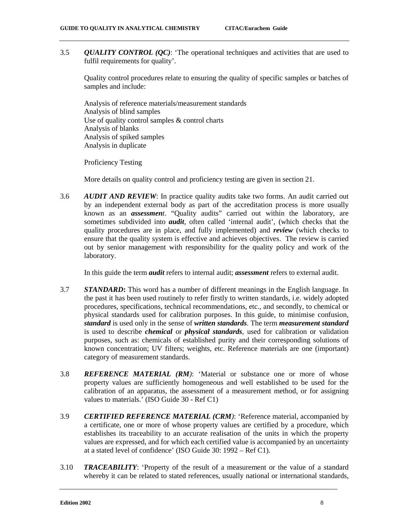3.5 *QUALITY CONTROL (QC)*: 'The operational techniques and activities that are used to fulfil requirements for quality'.

Quality control procedures relate to ensuring the quality of specific samples or batches of samples and include:

Analysis of reference materials/measurement standards Analysis of blind samples Use of quality control samples & control charts Analysis of blanks Analysis of spiked samples Analysis in duplicate

Proficiency Testing

More details on quality control and proficiency testing are given in section 21.

3.6 *AUDIT AND REVIEW*: In practice quality audits take two forms. An audit carried out by an independent external body as part of the accreditation process is more usually known as an *assessment*. "Quality audits" carried out within the laboratory, are sometimes subdivided into *audit*, often called 'internal audit', (which checks that the quality procedures are in place, and fully implemented) and *review* (which checks to ensure that the quality system is effective and achieves objectives. The review is carried out by senior management with responsibility for the quality policy and work of the laboratory.

In this guide the term *audit* refers to internal audit; *assessment* refers to external audit.

- 3.7 *STANDARD***:** This word has a number of different meanings in the English language. In the past it has been used routinely to refer firstly to written standards, i.e. widely adopted procedures, specifications, technical recommendations, etc., and secondly, to chemical or physical standards used for calibration purposes. In this guide, to minimise confusion, *standard* is used only in the sense of *written standards*. The term *measurement standard* is used to describe *chemical* or *physical standards*, used for calibration or validation purposes, such as: chemicals of established purity and their corresponding solutions of known concentration; UV filters; weights, etc. Reference materials are one (important) category of measurement standards.
- 3.8 *REFERENCE MATERIAL (RM)*: 'Material or substance one or more of whose property values are sufficiently homogeneous and well established to be used for the calibration of an apparatus, the assessment of a measurement method, or for assigning values to materials.' (ISO Guide 30 - Ref C1)
- 3.9 *CERTIFIED REFERENCE MATERIAL (CRM)*: 'Reference material, accompanied by a certificate, one or more of whose property values are certified by a procedure, which establishes its traceability to an accurate realisation of the units in which the property values are expressed, and for which each certified value is accompanied by an uncertainty at a stated level of confidence' (ISO Guide 30: 1992 – Ref C1).
- 3.10 *TRACEABILITY*: 'Property of the result of a measurement or the value of a standard whereby it can be related to stated references, usually national or international standards,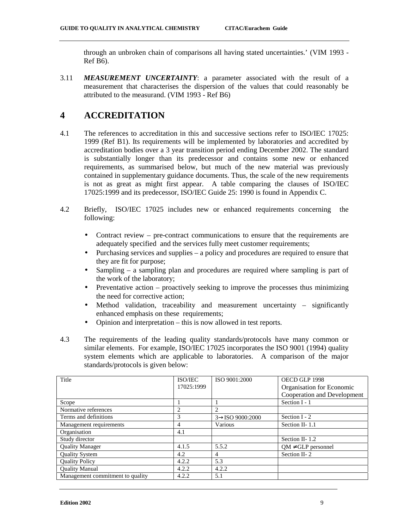through an unbroken chain of comparisons all having stated uncertainties.' (VIM 1993 - Ref B6).

3.11 *MEASUREMENT UNCERTAINTY*: a parameter associated with the result of a measurement that characterises the dispersion of the values that could reasonably be attributed to the measurand. (VIM 1993 - Ref B6)

## **4 ACCREDITATION**

- 4.1 The references to accreditation in this and successive sections refer to ISO/IEC 17025: 1999 (Ref B1). Its requirements will be implemented by laboratories and accredited by accreditation bodies over a 3 year transition period ending December 2002. The standard is substantially longer than its predecessor and contains some new or enhanced requirements, as summarised below, but much of the new material was previously contained in supplementary guidance documents. Thus, the scale of the new requirements is not as great as might first appear. A table comparing the clauses of ISO/IEC 17025:1999 and its predecessor, ISO/IEC Guide 25: 1990 is found in Appendix C.
- 4.2 Briefly, ISO/IEC 17025 includes new or enhanced requirements concerning the following:
	- Contract review pre-contract communications to ensure that the requirements are adequately specified and the services fully meet customer requirements;
	- Purchasing services and supplies a policy and procedures are required to ensure that they are fit for purpose;
	- Sampling a sampling plan and procedures are required where sampling is part of the work of the laboratory;
	- Preventative action proactively seeking to improve the processes thus minimizing the need for corrective action;
	- Method validation, traceability and measurement uncertainty significantly enhanced emphasis on these requirements;
	- Opinion and interpretation this is now allowed in test reports.
- 4.3 The requirements of the leading quality standards/protocols have many common or similar elements. For example, ISO/IEC 17025 incorporates the ISO 9001 (1994) quality system elements which are applicable to laboratories. A comparison of the major standards/protocols is given below:

| Title                            | ISO/IEC    | ISO 9001:2000                 | OECD GLP 1998               |
|----------------------------------|------------|-------------------------------|-----------------------------|
|                                  | 17025:1999 |                               | Organisation for Economic   |
|                                  |            |                               | Cooperation and Development |
| Scope                            |            |                               | Section I - 1               |
| Normative references             | 2          | 2                             |                             |
| Terms and definitions            | 3          | $3 \rightarrow$ ISO 9000:2000 | Section I - 2               |
| Management requirements          | 4          | Various                       | Section II-1.1              |
| Organisation                     | 4.1        |                               |                             |
| Study director                   |            |                               | Section II-1.2              |
| <b>Quality Manager</b>           | 4.1.5      | 5.5.2                         | $QM \neq GLP$ personnel     |
| <b>Quality System</b>            | 4.2        | 4                             | Section II-2                |
| <b>Quality Policy</b>            | 4.2.2      | 5.3                           |                             |
| <b>Ouality Manual</b>            | 4.2.2      | 4.2.2                         |                             |
| Management commitment to quality | 4.2.2      | 5.1                           |                             |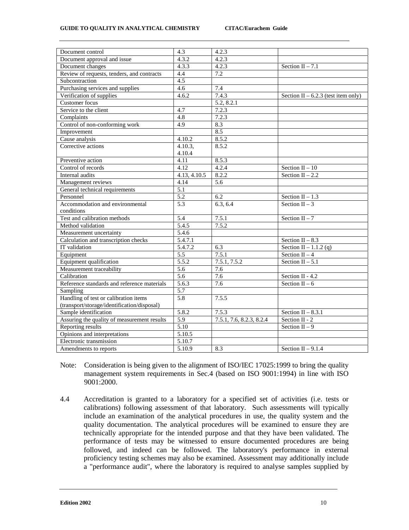| Document control                            | 4.3                 | 4.2.3                    |                                     |
|---------------------------------------------|---------------------|--------------------------|-------------------------------------|
| Document approval and issue                 | 4.3.2               | 4.2.3                    |                                     |
| Document changes                            | 4.3.3               | 4.2.3                    | Section II $-7.1$                   |
| Review of requests, tenders, and contracts  | 4.4                 | $\overline{7.2}$         |                                     |
| Subcontraction                              | 4.5                 |                          |                                     |
| Purchasing services and supplies            | 4.6                 | 7.4                      |                                     |
| Verification of supplies                    | 4.6.2               | 7.4.3                    | Section II – 6.2.3 (test item only) |
| <b>Customer</b> focus                       |                     | 5.2, 8.2.1               |                                     |
| Service to the client                       | 4.7                 | 7.2.3                    |                                     |
| Complaints                                  | 4.8                 | 7.2.3                    |                                     |
| Control of non-conforming work              | 4.9                 | 8.3                      |                                     |
| Improvement                                 |                     | 8.5                      |                                     |
| Cause analysis                              | 4.10.2              | 8.5.2                    |                                     |
| Corrective actions                          | $4.10.3$ ,          | 8.5.2                    |                                     |
|                                             | 4.10.4              |                          |                                     |
| Preventive action                           | 4.11                | 8.5.3                    |                                     |
| Control of records                          | 4.12                | $\overline{4.2.4}$       | Section II $-10$                    |
| Internal audits                             | 4.13, 4.10.5        | 8.2.2                    | Section II $-2.2$                   |
| Management reviews                          | 4.14                | 5.6                      |                                     |
| General technical requirements              | $\overline{5.1}$    |                          |                                     |
| Personnel                                   | 5.2                 | 6.2                      | Section II $-1.3$                   |
| Accommodation and environmental             | 5.3                 | 6.3, 6.4                 | Section II $-3$                     |
| conditions                                  |                     |                          |                                     |
| Test and calibration methods                | 5.4                 | 7.5.1                    | Section II $-7$                     |
| Method validation                           | 5.4.5               | 7.5.2                    |                                     |
| Measurement uncertainty                     | 5.4.6               |                          |                                     |
| Calculation and transcription checks        | 5.4.7.1             |                          | Section II $-8.3$                   |
| IT validation                               | 5.4.7.2             | 6.3                      | Section II – 1.1.2 (q)              |
| Equipment                                   | 5.5                 | 7.5.1                    | Section II $-4$                     |
| <b>Equipment qualification</b>              | $\overline{5.5.2}$  | 7.5.1, 7.5.2             | Section II $-5.1$                   |
| Measurement traceability                    | 5.6                 | 7.6                      |                                     |
| Calibration                                 | 5.6                 | 7.6                      | Section II - 4.2                    |
| Reference standards and reference materials | 5.6.3               | 7.6                      | Section II $-6$                     |
| Sampling                                    | 5.7                 |                          |                                     |
| Handling of test or calibration items       | $\overline{5.8}$    | 7.5.5                    |                                     |
| (transport/storage/identification/disposal) |                     |                          |                                     |
| Sample identification                       | 5.8.2               | 7.5.3                    | Section II $-8.3.1$                 |
| Assuring the quality of measurement results | $\overline{5.9}$    | 7.5.1, 7.6, 8.2.3, 8.2.4 | Section II - 2                      |
| Reporting results                           | 5.10                |                          | Section II $-9$                     |
| Opinions and interpretations                | 5.10.5              |                          |                                     |
| Electronic transmission                     | $\overline{5.10.7}$ |                          |                                     |
| Amendments to reports                       | 5.10.9              | 8.3                      | Section II $-9.1.4$                 |

- Note: Consideration is being given to the alignment of ISO/IEC 17025:1999 to bring the quality management system requirements in Sec.4 (based on ISO 9001:1994) in line with ISO 9001:2000.
- 4.4 Accreditation is granted to a laboratory for a specified set of activities (i.e. tests or calibrations) following assessment of that laboratory. Such assessments will typically include an examination of the analytical procedures in use, the quality system and the quality documentation. The analytical procedures will be examined to ensure they are technically appropriate for the intended purpose and that they have been validated. The performance of tests may be witnessed to ensure documented procedures are being followed, and indeed can be followed. The laboratory's performance in external proficiency testing schemes may also be examined. Assessment may additionally include a "performance audit", where the laboratory is required to analyse samples supplied by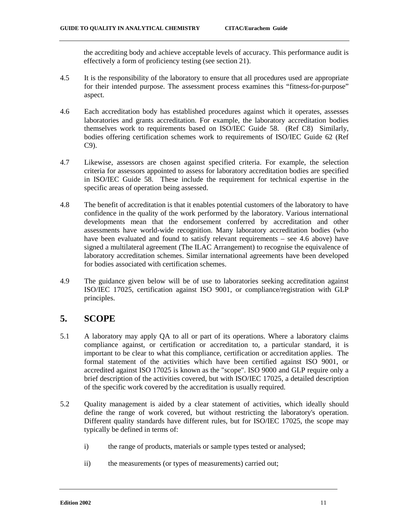the accrediting body and achieve acceptable levels of accuracy. This performance audit is effectively a form of proficiency testing (see section 21).

- 4.5 It is the responsibility of the laboratory to ensure that all procedures used are appropriate for their intended purpose. The assessment process examines this "fitness-for-purpose" aspect.
- 4.6 Each accreditation body has established procedures against which it operates, assesses laboratories and grants accreditation. For example, the laboratory accreditation bodies themselves work to requirements based on ISO/IEC Guide 58. (Ref C8) Similarly, bodies offering certification schemes work to requirements of ISO/IEC Guide 62 (Ref C9).
- 4.7 Likewise, assessors are chosen against specified criteria. For example, the selection criteria for assessors appointed to assess for laboratory accreditation bodies are specified in ISO/IEC Guide 58. These include the requirement for technical expertise in the specific areas of operation being assessed.
- 4.8 The benefit of accreditation is that it enables potential customers of the laboratory to have confidence in the quality of the work performed by the laboratory. Various international developments mean that the endorsement conferred by accreditation and other assessments have world-wide recognition. Many laboratory accreditation bodies (who have been evaluated and found to satisfy relevant requirements – see 4.6 above) have signed a multilateral agreement (The ILAC Arrangement) to recognise the equivalence of laboratory accreditation schemes. Similar international agreements have been developed for bodies associated with certification schemes.
- 4.9 The guidance given below will be of use to laboratories seeking accreditation against ISO/IEC 17025, certification against ISO 9001, or compliance/registration with GLP principles.

## **5. SCOPE**

- 5.1 A laboratory may apply QA to all or part of its operations. Where a laboratory claims compliance against, or certification or accreditation to, a particular standard, it is important to be clear to what this compliance, certification or accreditation applies. The formal statement of the activities which have been certified against ISO 9001, or accredited against ISO 17025 is known as the "scope". ISO 9000 and GLP require only a brief description of the activities covered, but with ISO/IEC 17025, a detailed description of the specific work covered by the accreditation is usually required.
- 5.2 Quality management is aided by a clear statement of activities, which ideally should define the range of work covered, but without restricting the laboratory's operation. Different quality standards have different rules, but for ISO/IEC 17025, the scope may typically be defined in terms of:
	- i) the range of products, materials or sample types tested or analysed;
	- ii) the measurements (or types of measurements) carried out;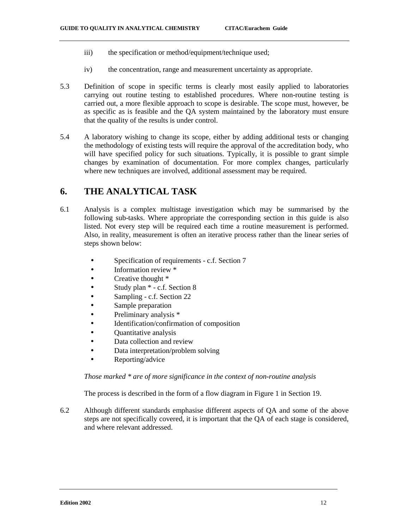- iii) the specification or method/equipment/technique used;
- iv) the concentration, range and measurement uncertainty as appropriate.
- 5.3 Definition of scope in specific terms is clearly most easily applied to laboratories carrying out routine testing to established procedures. Where non-routine testing is carried out, a more flexible approach to scope is desirable. The scope must, however, be as specific as is feasible and the QA system maintained by the laboratory must ensure that the quality of the results is under control.
- 5.4 A laboratory wishing to change its scope, either by adding additional tests or changing the methodology of existing tests will require the approval of the accreditation body, who will have specified policy for such situations. Typically, it is possible to grant simple changes by examination of documentation. For more complex changes, particularly where new techniques are involved, additional assessment may be required.

## **6. THE ANALYTICAL TASK**

- 6.1 Analysis is a complex multistage investigation which may be summarised by the following sub-tasks. Where appropriate the corresponding section in this guide is also listed. Not every step will be required each time a routine measurement is performed. Also, in reality, measurement is often an iterative process rather than the linear series of steps shown below:
	- Specification of requirements c.f. Section 7
	- Information review  $*$
	- Creative thought  $*$
	- Study plan  $*$  c.f. Section 8
	- Sampling c.f. Section 22
	- Sample preparation
	- Preliminary analysis \*
	- Identification/confirmation of composition
	- Quantitative analysis
	- Data collection and review
	- Data interpretation/problem solving
	- Reporting/advice

#### *Those marked \* are of more significance in the context of non-routine analysis*

The process is described in the form of a flow diagram in Figure 1 in Section 19.

6.2 Although different standards emphasise different aspects of QA and some of the above steps are not specifically covered, it is important that the QA of each stage is considered, and where relevant addressed.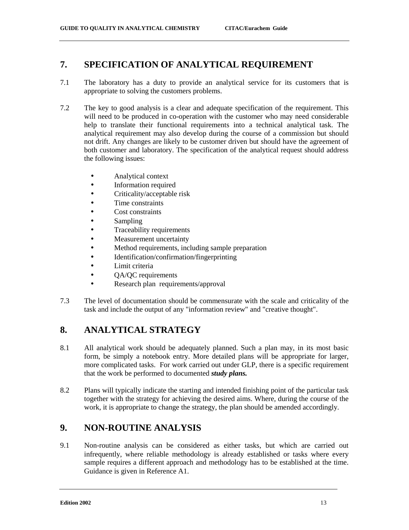## **7. SPECIFICATION OF ANALYTICAL REQUIREMENT**

- 7.1 The laboratory has a duty to provide an analytical service for its customers that is appropriate to solving the customers problems.
- 7.2 The key to good analysis is a clear and adequate specification of the requirement. This will need to be produced in co-operation with the customer who may need considerable help to translate their functional requirements into a technical analytical task. The analytical requirement may also develop during the course of a commission but should not drift. Any changes are likely to be customer driven but should have the agreement of both customer and laboratory. The specification of the analytical request should address the following issues:
	- Analytical context
	- Information required
	- Criticality/acceptable risk
	- Time constraints
	- Cost constraints
	- Sampling
	- Traceability requirements
	- Measurement uncertainty
	- Method requirements, including sample preparation
	- Identification/confirmation/fingerprinting
	- Limit criteria
	- QA/QC requirements
	- Research plan requirements/approval
- 7.3 The level of documentation should be commensurate with the scale and criticality of the task and include the output of any "information review" and "creative thought".

## **8. ANALYTICAL STRATEGY**

- 8.1 All analytical work should be adequately planned. Such a plan may, in its most basic form, be simply a notebook entry. More detailed plans will be appropriate for larger, more complicated tasks. For work carried out under GLP, there is a specific requirement that the work be performed to documented *study plans.*
- 8.2 Plans will typically indicate the starting and intended finishing point of the particular task together with the strategy for achieving the desired aims. Where, during the course of the work, it is appropriate to change the strategy, the plan should be amended accordingly.

## **9. NON-ROUTINE ANALYSIS**

9.1 Non-routine analysis can be considered as either tasks, but which are carried out infrequently, where reliable methodology is already established or tasks where every sample requires a different approach and methodology has to be established at the time. Guidance is given in Reference A1.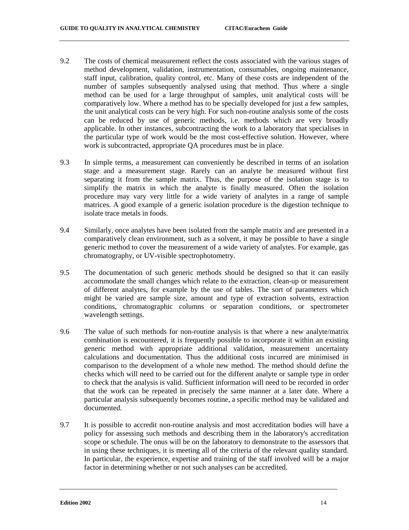- 9.2 The costs of chemical measurement reflect the costs associated with the various stages of method development, validation, instrumentation, consumables, ongoing maintenance, staff input, calibration, quality control, etc. Many of these costs are independent of the number of samples subsequently analysed using that method. Thus where a single method can be used for a large throughput of samples, unit analytical costs will be comparatively low. Where a method has to be specially developed for just a few samples, the unit analytical costs can be very high. For such non-routine analysis some of the costs can be reduced by use of generic methods, i.e. methods which are very broadly applicable. In other instances, subcontracting the work to a laboratory that specialises in the particular type of work would be the most cost-effective solution. However, where work is subcontracted, appropriate QA procedures must be in place.
- 9.3 In simple terms, a measurement can conveniently be described in terms of an isolation stage and a measurement stage. Rarely can an analyte be measured without first separating it from the sample matrix. Thus, the purpose of the isolation stage is to simplify the matrix in which the analyte is finally measured. Often the isolation procedure may vary very little for a wide variety of analytes in a range of sample matrices. A good example of a generic isolation procedure is the digestion technique to isolate trace metals in foods.
- 9.4 Similarly, once analytes have been isolated from the sample matrix and are presented in a comparatively clean environment, such as a solvent, it may be possible to have a single generic method to cover the measurement of a wide variety of analytes. For example, gas chromatography, or UV-visible spectrophotometry.
- 9.5 The documentation of such generic methods should be designed so that it can easily accommodate the small changes which relate to the extraction, clean-up or measurement of different analytes, for example by the use of tables. The sort of parameters which might be varied are sample size, amount and type of extraction solvents, extraction conditions, chromatographic columns or separation conditions, or spectrometer wavelength settings.
- 9.6 The value of such methods for non-routine analysis is that where a new analyte/matrix combination is encountered, it is frequently possible to incorporate it within an existing generic method with appropriate additional validation, measurement uncertainty calculations and documentation. Thus the additional costs incurred are minimised in comparison to the development of a whole new method. The method should define the checks which will need to be carried out for the different analyte or sample type in order to check that the analysis is valid. Sufficient information will need to be recorded in order that the work can be repeated in precisely the same manner at a later date. Where a particular analysis subsequently becomes routine, a specific method may be validated and documented.
- 9.7 It is possible to accredit non-routine analysis and most accreditation bodies will have a policy for assessing such methods and describing them in the laboratory's accreditation scope or schedule. The onus will be on the laboratory to demonstrate to the assessors that in using these techniques, it is meeting all of the criteria of the relevant quality standard. In particular, the experience, expertise and training of the staff involved will be a major factor in determining whether or not such analyses can be accredited.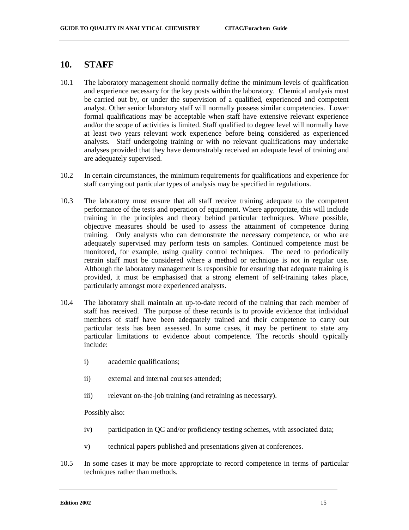## **10. STAFF**

- 10.1 The laboratory management should normally define the minimum levels of qualification and experience necessary for the key posts within the laboratory. Chemical analysis must be carried out by, or under the supervision of a qualified, experienced and competent analyst. Other senior laboratory staff will normally possess similar competencies. Lower formal qualifications may be acceptable when staff have extensive relevant experience and/or the scope of activities is limited. Staff qualified to degree level will normally have at least two years relevant work experience before being considered as experienced analysts. Staff undergoing training or with no relevant qualifications may undertake analyses provided that they have demonstrably received an adequate level of training and are adequately supervised.
- 10.2 In certain circumstances, the minimum requirements for qualifications and experience for staff carrying out particular types of analysis may be specified in regulations.
- 10.3 The laboratory must ensure that all staff receive training adequate to the competent performance of the tests and operation of equipment. Where appropriate, this will include training in the principles and theory behind particular techniques. Where possible, objective measures should be used to assess the attainment of competence during training. Only analysts who can demonstrate the necessary competence, or who are adequately supervised may perform tests on samples. Continued competence must be monitored, for example, using quality control techniques. The need to periodically retrain staff must be considered where a method or technique is not in regular use. Although the laboratory management is responsible for ensuring that adequate training is provided, it must be emphasised that a strong element of self-training takes place, particularly amongst more experienced analysts.
- 10.4 The laboratory shall maintain an up-to-date record of the training that each member of staff has received. The purpose of these records is to provide evidence that individual members of staff have been adequately trained and their competence to carry out particular tests has been assessed. In some cases, it may be pertinent to state any particular limitations to evidence about competence. The records should typically include:
	- i) academic qualifications;
	- ii) external and internal courses attended;
	- iii) relevant on-the-job training (and retraining as necessary).

Possibly also:

- iv) participation in QC and/or proficiency testing schemes, with associated data;
- v) technical papers published and presentations given at conferences.
- 10.5 In some cases it may be more appropriate to record competence in terms of particular techniques rather than methods.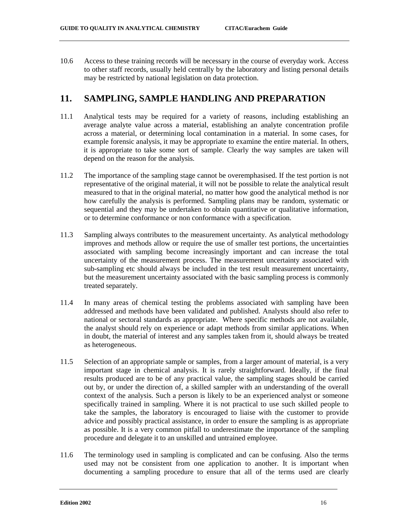10.6 Access to these training records will be necessary in the course of everyday work. Access to other staff records, usually held centrally by the laboratory and listing personal details may be restricted by national legislation on data protection.

## **11. SAMPLING, SAMPLE HANDLING AND PREPARATION**

- 11.1 Analytical tests may be required for a variety of reasons, including establishing an average analyte value across a material, establishing an analyte concentration profile across a material, or determining local contamination in a material. In some cases, for example forensic analysis, it may be appropriate to examine the entire material. In others, it is appropriate to take some sort of sample. Clearly the way samples are taken will depend on the reason for the analysis.
- 11.2 The importance of the sampling stage cannot be overemphasised. If the test portion is not representative of the original material, it will not be possible to relate the analytical result measured to that in the original material, no matter how good the analytical method is nor how carefully the analysis is performed. Sampling plans may be random, systematic or sequential and they may be undertaken to obtain quantitative or qualitative information, or to determine conformance or non conformance with a specification.
- 11.3 Sampling always contributes to the measurement uncertainty. As analytical methodology improves and methods allow or require the use of smaller test portions, the uncertainties associated with sampling become increasingly important and can increase the total uncertainty of the measurement process. The measurement uncertainty associated with sub-sampling etc should always be included in the test result measurement uncertainty, but the measurement uncertainty associated with the basic sampling process is commonly treated separately.
- 11.4 In many areas of chemical testing the problems associated with sampling have been addressed and methods have been validated and published. Analysts should also refer to national or sectoral standards as appropriate. Where specific methods are not available, the analyst should rely on experience or adapt methods from similar applications. When in doubt, the material of interest and any samples taken from it, should always be treated as heterogeneous.
- 11.5 Selection of an appropriate sample or samples, from a larger amount of material, is a very important stage in chemical analysis. It is rarely straightforward. Ideally, if the final results produced are to be of any practical value, the sampling stages should be carried out by, or under the direction of, a skilled sampler with an understanding of the overall context of the analysis. Such a person is likely to be an experienced analyst or someone specifically trained in sampling. Where it is not practical to use such skilled people to take the samples, the laboratory is encouraged to liaise with the customer to provide advice and possibly practical assistance, in order to ensure the sampling is as appropriate as possible. It is a very common pitfall to underestimate the importance of the sampling procedure and delegate it to an unskilled and untrained employee.
- 11.6 The terminology used in sampling is complicated and can be confusing. Also the terms used may not be consistent from one application to another. It is important when documenting a sampling procedure to ensure that all of the terms used are clearly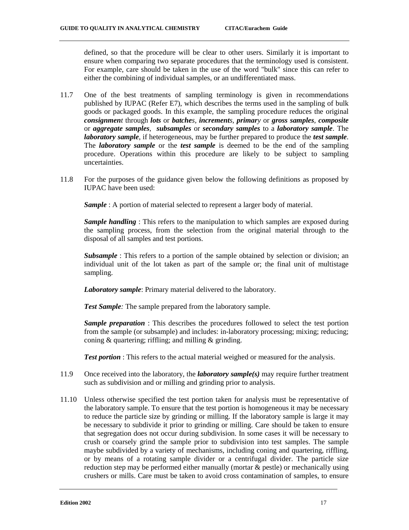defined, so that the procedure will be clear to other users. Similarly it is important to ensure when comparing two separate procedures that the terminology used is consistent. For example, care should be taken in the use of the word "bulk" since this can refer to either the combining of individual samples, or an undifferentiated mass.

- 11.7 One of the best treatments of sampling terminology is given in recommendations published by IUPAC (Refer E7), which describes the terms used in the sampling of bulk goods or packaged goods. In this example, the sampling procedure reduces the original *consignment* through *lots* or *batches, increments, primary* or *gross samples, composite* or *aggregate samples, subsamples* or *secondary samples* to a *laboratory sample*. The *laboratory sample*, if heterogeneous, may be further prepared to produce the *test sample*. The *laboratory sample* or the *test sample* is deemed to be the end of the sampling procedure. Operations within this procedure are likely to be subject to sampling uncertainties.
- 11.8 For the purposes of the guidance given below the following definitions as proposed by IUPAC have been used:

*Sample* : A portion of material selected to represent a larger body of material.

**Sample handling**: This refers to the manipulation to which samples are exposed during the sampling process, from the selection from the original material through to the disposal of all samples and test portions.

**Subsample**: This refers to a portion of the sample obtained by selection or division; an individual unit of the lot taken as part of the sample or; the final unit of multistage sampling.

*Laboratory sample*: Primary material delivered to the laboratory.

*Test Sample*: The sample prepared from the laboratory sample.

**Sample preparation**: This describes the procedures followed to select the test portion from the sample (or subsample) and includes: in-laboratory processing; mixing; reducing; coning & quartering; riffling; and milling & grinding.

*Test portion* : This refers to the actual material weighed or measured for the analysis.

- 11.9 Once received into the laboratory, the *laboratory sample(s)* may require further treatment such as subdivision and or milling and grinding prior to analysis.
- 11.10 Unless otherwise specified the test portion taken for analysis must be representative of the laboratory sample. To ensure that the test portion is homogeneous it may be necessary to reduce the particle size by grinding or milling. If the laboratory sample is large it may be necessary to subdivide it prior to grinding or milling. Care should be taken to ensure that segregation does not occur during subdivision. In some cases it will be necessary to crush or coarsely grind the sample prior to subdivision into test samples. The sample maybe subdivided by a variety of mechanisms, including coning and quartering, riffling, or by means of a rotating sample divider or a centrifugal divider. The particle size reduction step may be performed either manually (mortar  $\&$  pestle) or mechanically using crushers or mills. Care must be taken to avoid cross contamination of samples, to ensure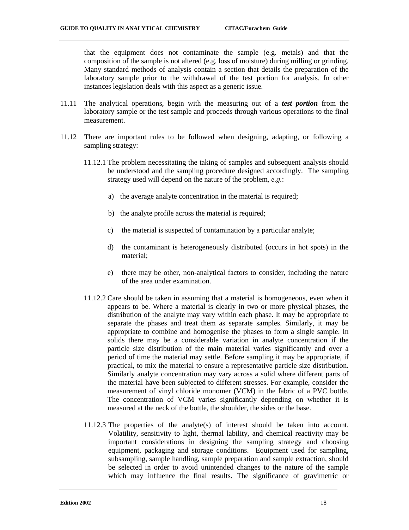that the equipment does not contaminate the sample (e.g. metals) and that the composition of the sample is not altered (e.g. loss of moisture) during milling or grinding. Many standard methods of analysis contain a section that details the preparation of the laboratory sample prior to the withdrawal of the test portion for analysis. In other instances legislation deals with this aspect as a generic issue.

- 11.11 The analytical operations, begin with the measuring out of a *test portion* from the laboratory sample or the test sample and proceeds through various operations to the final measurement.
- 11.12 There are important rules to be followed when designing, adapting, or following a sampling strategy:
	- 11.12.1 The problem necessitating the taking of samples and subsequent analysis should be understood and the sampling procedure designed accordingly. The sampling strategy used will depend on the nature of the problem, *e.g.*:
		- a) the average analyte concentration in the material is required;
		- b) the analyte profile across the material is required;
		- c) the material is suspected of contamination by a particular analyte;
		- d) the contaminant is heterogeneously distributed (occurs in hot spots) in the material;
		- e) there may be other, non-analytical factors to consider, including the nature of the area under examination.
	- 11.12.2 Care should be taken in assuming that a material is homogeneous, even when it appears to be. Where a material is clearly in two or more physical phases, the distribution of the analyte may vary within each phase. It may be appropriate to separate the phases and treat them as separate samples. Similarly, it may be appropriate to combine and homogenise the phases to form a single sample. In solids there may be a considerable variation in analyte concentration if the particle size distribution of the main material varies significantly and over a period of time the material may settle. Before sampling it may be appropriate, if practical, to mix the material to ensure a representative particle size distribution. Similarly analyte concentration may vary across a solid where different parts of the material have been subjected to different stresses. For example, consider the measurement of vinyl chloride monomer (VCM) in the fabric of a PVC bottle. The concentration of VCM varies significantly depending on whether it is measured at the neck of the bottle, the shoulder, the sides or the base.
	- 11.12.3 The properties of the analyte(s) of interest should be taken into account. Volatility, sensitivity to light, thermal lability, and chemical reactivity may be important considerations in designing the sampling strategy and choosing equipment, packaging and storage conditions. Equipment used for sampling, subsampling, sample handling, sample preparation and sample extraction, should be selected in order to avoid unintended changes to the nature of the sample which may influence the final results. The significance of gravimetric or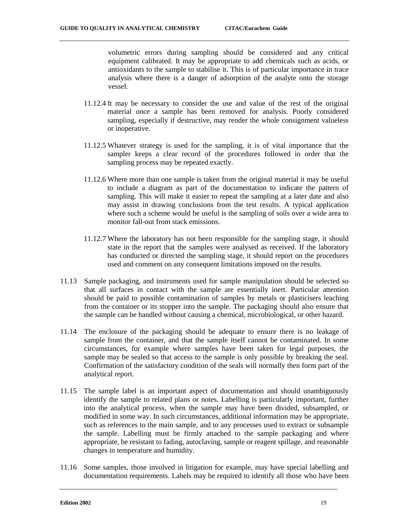volumetric errors during sampling should be considered and any critical equipment calibrated. It may be appropriate to add chemicals such as acids, or antioxidants to the sample to stabilise it. This is of particular importance in trace analysis where there is a danger of adsorption of the analyte onto the storage vessel.

- 11.12.4 It may be necessary to consider the use and value of the rest of the original material once a sample has been removed for analysis. Poorly considered sampling, especially if destructive, may render the whole consignment valueless or inoperative.
- 11.12.5 Whatever strategy is used for the sampling, it is of vital importance that the sampler keeps a clear record of the procedures followed in order that the sampling process may be repeated exactly.
- 11.12.6 Where more than one sample is taken from the original material it may be useful to include a diagram as part of the documentation to indicate the pattern of sampling. This will make it easier to repeat the sampling at a later date and also may assist in drawing conclusions from the test results. A typical application where such a scheme would be useful is the sampling of soils over a wide area to monitor fall-out from stack emissions.
- 11.12.7 Where the laboratory has not been responsible for the sampling stage, it should state in the report that the samples were analysed as received. If the laboratory has conducted or directed the sampling stage, it should report on the procedures used and comment on any consequent limitations imposed on the results.
- 11.13 Sample packaging, and instruments used for sample manipulation should be selected so that all surfaces in contact with the sample are essentially inert. Particular attention should be paid to possible contamination of samples by metals or plasticisers leaching from the container or its stopper into the sample. The packaging should also ensure that the sample can be handled without causing a chemical, microbiological, or other hazard.
- 11.14 The enclosure of the packaging should be adequate to ensure there is no leakage of sample from the container, and that the sample itself cannot be contaminated. In some circumstances, for example where samples have been taken for legal purposes, the sample may be sealed so that access to the sample is only possible by breaking the seal. Confirmation of the satisfactory condition of the seals will normally then form part of the analytical report.
- 11.15 The sample label is an important aspect of documentation and should unambiguously identify the sample to related plans or notes. Labelling is particularly important, further into the analytical process, when the sample may have been divided, subsampled, or modified in some way. In such circumstances, additional information may be appropriate, such as references to the main sample, and to any processes used to extract or subsample the sample. Labelling must be firmly attached to the sample packaging and where appropriate, be resistant to fading, autoclaving, sample or reagent spillage, and reasonable changes in temperature and humidity.
- 11.16 Some samples, those involved in litigation for example, may have special labelling and documentation requirements. Labels may be required to identify all those who have been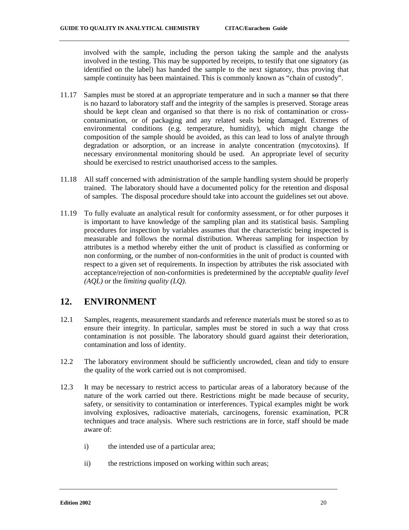involved with the sample, including the person taking the sample and the analysts involved in the testing. This may be supported by receipts, to testify that one signatory (as identified on the label) has handed the sample to the next signatory, thus proving that sample continuity has been maintained. This is commonly known as "chain of custody".

- 11.17 Samples must be stored at an appropriate temperature and in such a manner so that there is no hazard to laboratory staff and the integrity of the samples is preserved. Storage areas should be kept clean and organised so that there is no risk of contamination or crosscontamination, or of packaging and any related seals being damaged. Extremes of environmental conditions (e.g. temperature, humidity), which might change the composition of the sample should be avoided, as this can lead to loss of analyte through degradation or adsorption, or an increase in analyte concentration (mycotoxins). If necessary environmental monitoring should be used. An appropriate level of security should be exercised to restrict unauthorised access to the samples.
- 11.18 All staff concerned with administration of the sample handling system should be properly trained. The laboratory should have a documented policy for the retention and disposal of samples. The disposal procedure should take into account the guidelines set out above.
- 11.19 To fully evaluate an analytical result for conformity assessment, or for other purposes it is important to have knowledge of the sampling plan and its statistical basis. Sampling procedures for inspection by variables assumes that the characteristic being inspected is measurable and follows the normal distribution. Whereas sampling for inspection by attributes is a method whereby either the unit of product is classified as conforming or non conforming, or the number of non-conformities in the unit of product is counted with respect to a given set of requirements. In inspection by attributes the risk associated with acceptance/rejection of non-conformities is predetermined by the *acceptable quality level (AQL)* or the *limiting quality (LQ)*.

## **12. ENVIRONMENT**

- 12.1 Samples, reagents, measurement standards and reference materials must be stored so as to ensure their integrity. In particular, samples must be stored in such a way that cross contamination is not possible. The laboratory should guard against their deterioration, contamination and loss of identity.
- 12.2 The laboratory environment should be sufficiently uncrowded, clean and tidy to ensure the quality of the work carried out is not compromised.
- 12.3 It may be necessary to restrict access to particular areas of a laboratory because of the nature of the work carried out there. Restrictions might be made because of security, safety, or sensitivity to contamination or interferences. Typical examples might be work involving explosives, radioactive materials, carcinogens, forensic examination, PCR techniques and trace analysis. Where such restrictions are in force, staff should be made aware of:
	- i) the intended use of a particular area;
	- ii) the restrictions imposed on working within such areas;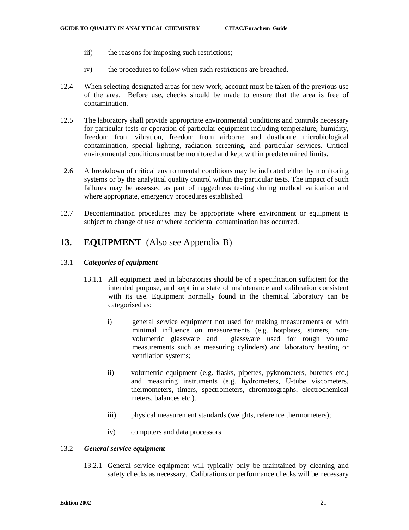- iii) the reasons for imposing such restrictions;
- iv) the procedures to follow when such restrictions are breached.
- 12.4 When selecting designated areas for new work, account must be taken of the previous use of the area. Before use, checks should be made to ensure that the area is free of contamination.
- 12.5 The laboratory shall provide appropriate environmental conditions and controls necessary for particular tests or operation of particular equipment including temperature, humidity, freedom from vibration, freedom from airborne and dustborne microbiological contamination, special lighting, radiation screening, and particular services. Critical environmental conditions must be monitored and kept within predetermined limits.
- 12.6 A breakdown of critical environmental conditions may be indicated either by monitoring systems or by the analytical quality control within the particular tests. The impact of such failures may be assessed as part of ruggedness testing during method validation and where appropriate, emergency procedures established.
- 12.7 Decontamination procedures may be appropriate where environment or equipment is subject to change of use or where accidental contamination has occurred.

## **13. EQUIPMENT** (Also see Appendix B)

#### 13.1 *Categories of equipment*

- 13.1.1 All equipment used in laboratories should be of a specification sufficient for the intended purpose, and kept in a state of maintenance and calibration consistent with its use. Equipment normally found in the chemical laboratory can be categorised as:
	- i) general service equipment not used for making measurements or with minimal influence on measurements (e.g. hotplates, stirrers, nonvolumetric glassware and glassware used for rough volume measurements such as measuring cylinders) and laboratory heating or ventilation systems;
	- ii) volumetric equipment (e.g. flasks, pipettes, pyknometers, burettes etc.) and measuring instruments (e.g. hydrometers, U-tube viscometers, thermometers, timers, spectrometers, chromatographs, electrochemical meters, balances etc.).
	- iii) physical measurement standards (weights, reference thermometers);
	- iv) computers and data processors.

#### 13.2 *General service equipment*

13.2.1 General service equipment will typically only be maintained by cleaning and safety checks as necessary. Calibrations or performance checks will be necessary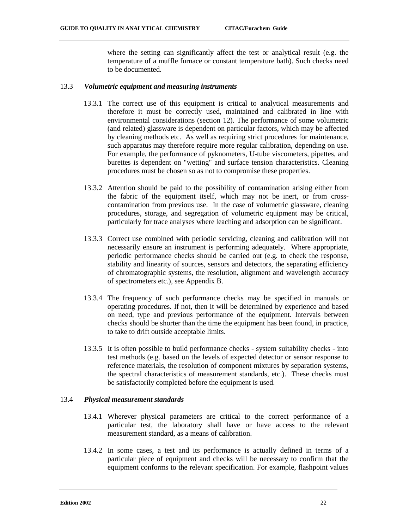where the setting can significantly affect the test or analytical result (e.g. the temperature of a muffle furnace or constant temperature bath). Such checks need to be documented.

#### 13.3 *Volumetric equipment and measuring instruments*

- 13.3.1 The correct use of this equipment is critical to analytical measurements and therefore it must be correctly used, maintained and calibrated in line with environmental considerations (section 12). The performance of some volumetric (and related) glassware is dependent on particular factors, which may be affected by cleaning methods etc. As well as requiring strict procedures for maintenance, such apparatus may therefore require more regular calibration, depending on use. For example, the performance of pyknometers, U-tube viscometers, pipettes, and burettes is dependent on "wetting" and surface tension characteristics. Cleaning procedures must be chosen so as not to compromise these properties.
- 13.3.2 Attention should be paid to the possibility of contamination arising either from the fabric of the equipment itself, which may not be inert, or from crosscontamination from previous use. In the case of volumetric glassware, cleaning procedures, storage, and segregation of volumetric equipment may be critical, particularly for trace analyses where leaching and adsorption can be significant.
- 13.3.3 Correct use combined with periodic servicing, cleaning and calibration will not necessarily ensure an instrument is performing adequately. Where appropriate, periodic performance checks should be carried out (e.g. to check the response, stability and linearity of sources, sensors and detectors, the separating efficiency of chromatographic systems, the resolution, alignment and wavelength accuracy of spectrometers etc.), see Appendix B.
- 13.3.4 The frequency of such performance checks may be specified in manuals or operating procedures. If not, then it will be determined by experience and based on need, type and previous performance of the equipment. Intervals between checks should be shorter than the time the equipment has been found, in practice, to take to drift outside acceptable limits.
- 13.3.5 It is often possible to build performance checks system suitability checks into test methods (e.g. based on the levels of expected detector or sensor response to reference materials, the resolution of component mixtures by separation systems, the spectral characteristics of measurement standards, etc.). These checks must be satisfactorily completed before the equipment is used.

#### 13.4 *Physical measurement standards*

- 13.4.1 Wherever physical parameters are critical to the correct performance of a particular test, the laboratory shall have or have access to the relevant measurement standard, as a means of calibration.
- 13.4.2 In some cases, a test and its performance is actually defined in terms of a particular piece of equipment and checks will be necessary to confirm that the equipment conforms to the relevant specification. For example, flashpoint values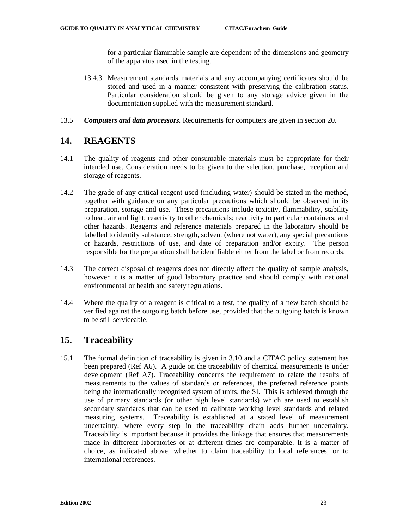for a particular flammable sample are dependent of the dimensions and geometry of the apparatus used in the testing.

- 13.4.3 Measurement standards materials and any accompanying certificates should be stored and used in a manner consistent with preserving the calibration status. Particular consideration should be given to any storage advice given in the documentation supplied with the measurement standard.
- 13.5 *Computers and data processors.* Requirements for computers are given in section 20.

## **14. REAGENTS**

- 14.1 The quality of reagents and other consumable materials must be appropriate for their intended use. Consideration needs to be given to the selection, purchase, reception and storage of reagents.
- 14.2 The grade of any critical reagent used (including water) should be stated in the method, together with guidance on any particular precautions which should be observed in its preparation, storage and use. These precautions include toxicity, flammability, stability to heat, air and light; reactivity to other chemicals; reactivity to particular containers; and other hazards. Reagents and reference materials prepared in the laboratory should be labelled to identify substance, strength, solvent (where not water), any special precautions or hazards, restrictions of use, and date of preparation and/or expiry. The person responsible for the preparation shall be identifiable either from the label or from records.
- 14.3 The correct disposal of reagents does not directly affect the quality of sample analysis, however it is a matter of good laboratory practice and should comply with national environmental or health and safety regulations.
- 14.4 Where the quality of a reagent is critical to a test, the quality of a new batch should be verified against the outgoing batch before use, provided that the outgoing batch is known to be still serviceable.

## **15. Traceability**

15.1 The formal definition of traceability is given in 3.10 and a CITAC policy statement has been prepared (Ref A6). A guide on the traceability of chemical measurements is under development (Ref A7). Traceability concerns the requirement to relate the results of measurements to the values of standards or references, the preferred reference points being the internationally recognised system of units, the SI. This is achieved through the use of primary standards (or other high level standards) which are used to establish secondary standards that can be used to calibrate working level standards and related measuring systems. Traceability is established at a stated level of measurement uncertainty, where every step in the traceability chain adds further uncertainty. Traceability is important because it provides the linkage that ensures that measurements made in different laboratories or at different times are comparable. It is a matter of choice, as indicated above, whether to claim traceability to local references, or to international references.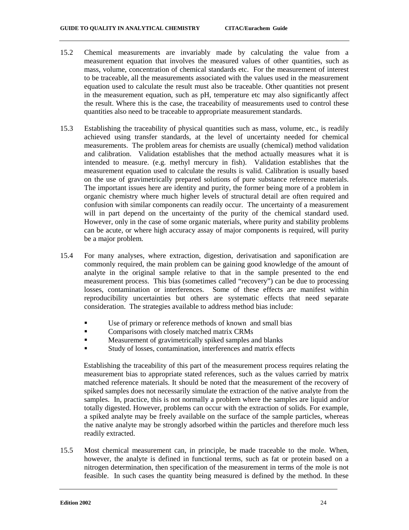- 15.2 Chemical measurements are invariably made by calculating the value from a measurement equation that involves the measured values of other quantities, such as mass, volume, concentration of chemical standards etc. For the measurement of interest to be traceable, all the measurements associated with the values used in the measurement equation used to calculate the result must also be traceable. Other quantities not present in the measurement equation, such as pH, temperature etc may also significantly affect the result. Where this is the case, the traceability of measurements used to control these quantities also need to be traceable to appropriate measurement standards.
- 15.3 Establishing the traceability of physical quantities such as mass, volume, etc., is readily achieved using transfer standards, at the level of uncertainty needed for chemical measurements. The problem areas for chemists are usually (chemical) method validation and calibration. Validation establishes that the method actually measures what it is intended to measure. (e.g. methyl mercury in fish). Validation establishes that the measurement equation used to calculate the results is valid. Calibration is usually based on the use of gravimetrically prepared solutions of pure substance reference materials. The important issues here are identity and purity, the former being more of a problem in organic chemistry where much higher levels of structural detail are often required and confusion with similar components can readily occur. The uncertainty of a measurement will in part depend on the uncertainty of the purity of the chemical standard used. However, only in the case of some organic materials, where purity and stability problems can be acute, or where high accuracy assay of major components is required, will purity be a major problem.
- 15.4 For many analyses, where extraction, digestion, derivatisation and saponification are commonly required, the main problem can be gaining good knowledge of the amount of analyte in the original sample relative to that in the sample presented to the end measurement process. This bias (sometimes called "recovery") can be due to processing losses, contamination or interferences. Some of these effects are manifest within reproducibility uncertainties but others are systematic effects that need separate consideration. The strategies available to address method bias include:
	- ! Use of primary or reference methods of known and small bias
	- **•** Comparisons with closely matched matrix CRMs
	- ! Measurement of gravimetrically spiked samples and blanks
	- Study of losses, contamination, interferences and matrix effects

Establishing the traceability of this part of the measurement process requires relating the measurement bias to appropriate stated references, such as the values carried by matrix matched reference materials. It should be noted that the measurement of the recovery of spiked samples does not necessarily simulate the extraction of the native analyte from the samples. In, practice, this is not normally a problem where the samples are liquid and/or totally digested. However, problems can occur with the extraction of solids. For example, a spiked analyte may be freely available on the surface of the sample particles, whereas the native analyte may be strongly adsorbed within the particles and therefore much less readily extracted.

15.5 Most chemical measurement can, in principle, be made traceable to the mole. When, however, the analyte is defined in functional terms, such as fat or protein based on a nitrogen determination, then specification of the measurement in terms of the mole is not feasible. In such cases the quantity being measured is defined by the method. In these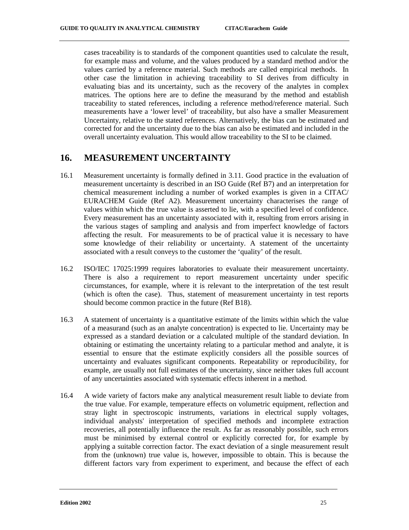cases traceability is to standards of the component quantities used to calculate the result, for example mass and volume, and the values produced by a standard method and/or the values carried by a reference material. Such methods are called empirical methods. In other case the limitation in achieving traceability to SI derives from difficulty in evaluating bias and its uncertainty, such as the recovery of the analytes in complex matrices. The options here are to define the measurand by the method and establish traceability to stated references, including a reference method/reference material. Such measurements have a 'lower level' of traceability, but also have a smaller Measurement Uncertainty, relative to the stated references. Alternatively, the bias can be estimated and corrected for and the uncertainty due to the bias can also be estimated and included in the overall uncertainty evaluation. This would allow traceability to the SI to be claimed.

## **16. MEASUREMENT UNCERTAINTY**

- 16.1 Measurement uncertainty is formally defined in 3.11. Good practice in the evaluation of measurement uncertainty is described in an ISO Guide (Ref B7) and an interpretation for chemical measurement including a number of worked examples is given in a CITAC/ EURACHEM Guide (Ref A2). Measurement uncertainty characterises the range of values within which the true value is asserted to lie, with a specified level of confidence. Every measurement has an uncertainty associated with it, resulting from errors arising in the various stages of sampling and analysis and from imperfect knowledge of factors affecting the result. For measurements to be of practical value it is necessary to have some knowledge of their reliability or uncertainty. A statement of the uncertainty associated with a result conveys to the customer the 'quality' of the result.
- 16.2 ISO/IEC 17025:1999 requires laboratories to evaluate their measurement uncertainty. There is also a requirement to report measurement uncertainty under specific circumstances, for example, where it is relevant to the interpretation of the test result (which is often the case). Thus, statement of measurement uncertainty in test reports should become common practice in the future (Ref B18).
- 16.3 A statement of uncertainty is a quantitative estimate of the limits within which the value of a measurand (such as an analyte concentration) is expected to lie. Uncertainty may be expressed as a standard deviation or a calculated multiple of the standard deviation. In obtaining or estimating the uncertainty relating to a particular method and analyte, it is essential to ensure that the estimate explicitly considers all the possible sources of uncertainty and evaluates significant components. Repeatability or reproducibility, for example, are usually not full estimates of the uncertainty, since neither takes full account of any uncertainties associated with systematic effects inherent in a method.
- 16.4 A wide variety of factors make any analytical measurement result liable to deviate from the true value. For example, temperature effects on volumetric equipment, reflection and stray light in spectroscopic instruments, variations in electrical supply voltages, individual analysts' interpretation of specified methods and incomplete extraction recoveries, all potentially influence the result. As far as reasonably possible, such errors must be minimised by external control or explicitly corrected for, for example by applying a suitable correction factor. The exact deviation of a single measurement result from the (unknown) true value is, however, impossible to obtain. This is because the different factors vary from experiment to experiment, and because the effect of each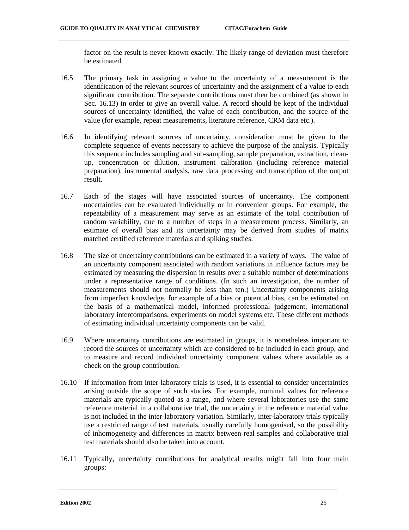factor on the result is never known exactly. The likely range of deviation must therefore be estimated.

- 16.5 The primary task in assigning a value to the uncertainty of a measurement is the identification of the relevant sources of uncertainty and the assignment of a value to each significant contribution. The separate contributions must then be combined (as shown in Sec. 16.13) in order to give an overall value. A record should be kept of the individual sources of uncertainty identified, the value of each contribution, and the source of the value (for example, repeat measurements, literature reference, CRM data etc.).
- 16.6 In identifying relevant sources of uncertainty, consideration must be given to the complete sequence of events necessary to achieve the purpose of the analysis. Typically this sequence includes sampling and sub-sampling, sample preparation, extraction, cleanup, concentration or dilution, instrument calibration (including reference material preparation), instrumental analysis, raw data processing and transcription of the output result.
- 16.7 Each of the stages will have associated sources of uncertainty. The component uncertainties can be evaluated individually or in convenient groups. For example, the repeatability of a measurement may serve as an estimate of the total contribution of random variability, due to a number of steps in a measurement process. Similarly, an estimate of overall bias and its uncertainty may be derived from studies of matrix matched certified reference materials and spiking studies.
- 16.8 The size of uncertainty contributions can be estimated in a variety of ways. The value of an uncertainty component associated with random variations in influence factors may be estimated by measuring the dispersion in results over a suitable number of determinations under a representative range of conditions. (In such an investigation, the number of measurements should not normally be less than ten.) Uncertainty components arising from imperfect knowledge, for example of a bias or potential bias, can be estimated on the basis of a mathematical model, informed professional judgement, international laboratory intercomparisons, experiments on model systems etc. These different methods of estimating individual uncertainty components can be valid.
- 16.9 Where uncertainty contributions are estimated in groups, it is nonetheless important to record the sources of uncertainty which are considered to be included in each group, and to measure and record individual uncertainty component values where available as a check on the group contribution.
- 16.10 If information from inter-laboratory trials is used, it is essential to consider uncertainties arising outside the scope of such studies. For example, nominal values for reference materials are typically quoted as a range, and where several laboratories use the same reference material in a collaborative trial, the uncertainty in the reference material value is not included in the inter-laboratory variation. Similarly, inter-laboratory trials typically use a restricted range of test materials, usually carefully homogenised, so the possibility of inhomogeneity and differences in matrix between real samples and collaborative trial test materials should also be taken into account.
- 16.11 Typically, uncertainty contributions for analytical results might fall into four main groups: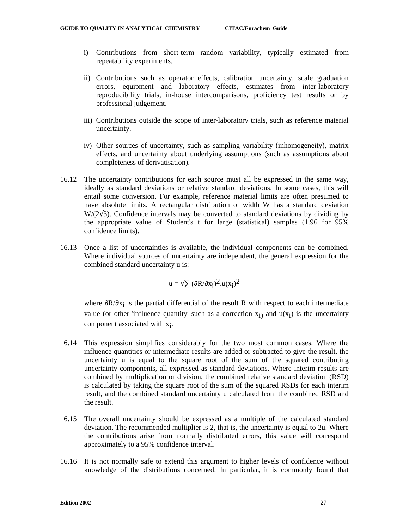- i) Contributions from short-term random variability, typically estimated from repeatability experiments.
- ii) Contributions such as operator effects, calibration uncertainty, scale graduation errors, equipment and laboratory effects, estimates from inter-laboratory reproducibility trials, in-house intercomparisons, proficiency test results or by professional judgement.
- iii) Contributions outside the scope of inter-laboratory trials, such as reference material uncertainty.
- iv) Other sources of uncertainty, such as sampling variability (inhomogeneity), matrix effects, and uncertainty about underlying assumptions (such as assumptions about completeness of derivatisation).
- 16.12 The uncertainty contributions for each source must all be expressed in the same way, ideally as standard deviations or relative standard deviations. In some cases, this will entail some conversion. For example, reference material limits are often presumed to have absolute limits. A rectangular distribution of width W has a standard deviation W/(2√3). Confidence intervals may be converted to standard deviations by dividing by the appropriate value of Student's t for large (statistical) samples (1.96 for 95% confidence limits).
- 16.13 Once a list of uncertainties is available, the individual components can be combined. Where individual sources of uncertainty are independent, the general expression for the combined standard uncertainty u is:

$$
u=\sqrt{\Sigma}~(\partial R/\partial x_i)^2.u(x_i)^2
$$

where  $\partial R/\partial x_i$  is the partial differential of the result R with respect to each intermediate value (or other 'influence quantity' such as a correction  $x_i$ ) and  $u(x_i)$  is the uncertainty component associated with xi.

- 16.14 This expression simplifies considerably for the two most common cases. Where the influence quantities or intermediate results are added or subtracted to give the result, the uncertainty u is equal to the square root of the sum of the squared contributing uncertainty components, all expressed as standard deviations. Where interim results are combined by multiplication or division, the combined relative standard deviation (RSD) is calculated by taking the square root of the sum of the squared RSDs for each interim result, and the combined standard uncertainty u calculated from the combined RSD and the result.
- 16.15 The overall uncertainty should be expressed as a multiple of the calculated standard deviation. The recommended multiplier is 2, that is, the uncertainty is equal to 2u. Where the contributions arise from normally distributed errors, this value will correspond approximately to a 95% confidence interval.
- 16.16 It is not normally safe to extend this argument to higher levels of confidence without knowledge of the distributions concerned. In particular, it is commonly found that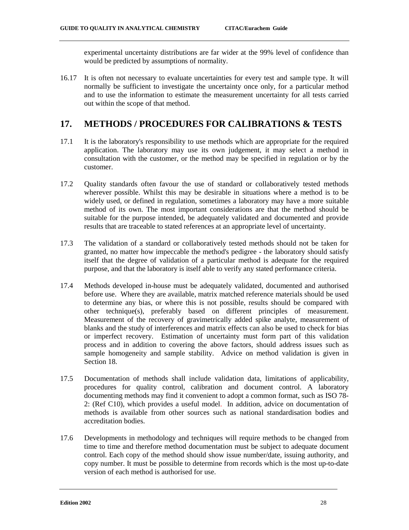experimental uncertainty distributions are far wider at the 99% level of confidence than would be predicted by assumptions of normality.

16.17 It is often not necessary to evaluate uncertainties for every test and sample type. It will normally be sufficient to investigate the uncertainty once only, for a particular method and to use the information to estimate the measurement uncertainty for all tests carried out within the scope of that method.

## **17. METHODS / PROCEDURES FOR CALIBRATIONS & TESTS**

- 17.1 It is the laboratory's responsibility to use methods which are appropriate for the required application. The laboratory may use its own judgement, it may select a method in consultation with the customer, or the method may be specified in regulation or by the customer.
- 17.2 Quality standards often favour the use of standard or collaboratively tested methods wherever possible. Whilst this may be desirable in situations where a method is to be widely used, or defined in regulation, sometimes a laboratory may have a more suitable method of its own. The most important considerations are that the method should be suitable for the purpose intended, be adequately validated and documented and provide results that are traceable to stated references at an appropriate level of uncertainty.
- 17.3 The validation of a standard or collaboratively tested methods should not be taken for granted, no matter how impeccable the method's pedigree - the laboratory should satisfy itself that the degree of validation of a particular method is adequate for the required purpose, and that the laboratory is itself able to verify any stated performance criteria.
- 17.4 Methods developed in-house must be adequately validated, documented and authorised before use. Where they are available, matrix matched reference materials should be used to determine any bias, or where this is not possible, results should be compared with other technique(s), preferably based on different principles of measurement. Measurement of the recovery of gravimetrically added spike analyte, measurement of blanks and the study of interferences and matrix effects can also be used to check for bias or imperfect recovery. Estimation of uncertainty must form part of this validation process and in addition to covering the above factors, should address issues such as sample homogeneity and sample stability. Advice on method validation is given in Section 18.
- 17.5 Documentation of methods shall include validation data, limitations of applicability, procedures for quality control, calibration and document control. A laboratory documenting methods may find it convenient to adopt a common format, such as ISO 78- 2: (Ref C10), which provides a useful model. In addition, advice on documentation of methods is available from other sources such as national standardisation bodies and accreditation bodies.
- 17.6 Developments in methodology and techniques will require methods to be changed from time to time and therefore method documentation must be subject to adequate document control. Each copy of the method should show issue number/date, issuing authority, and copy number. It must be possible to determine from records which is the most up-to-date version of each method is authorised for use.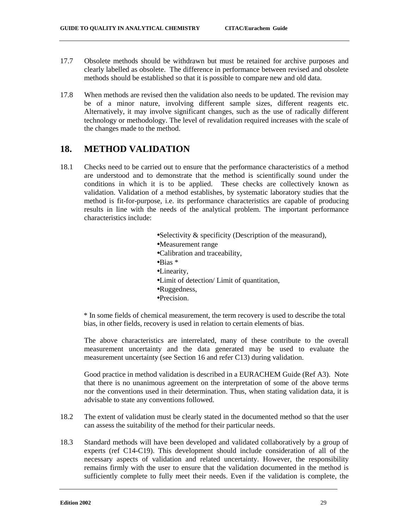- 17.7 Obsolete methods should be withdrawn but must be retained for archive purposes and clearly labelled as obsolete. The difference in performance between revised and obsolete methods should be established so that it is possible to compare new and old data.
- 17.8 When methods are revised then the validation also needs to be updated. The revision may be of a minor nature, involving different sample sizes, different reagents etc. Alternatively, it may involve significant changes, such as the use of radically different technology or methodology. The level of revalidation required increases with the scale of the changes made to the method.

## **18. METHOD VALIDATION**

- 18.1 Checks need to be carried out to ensure that the performance characteristics of a method are understood and to demonstrate that the method is scientifically sound under the conditions in which it is to be applied. These checks are collectively known as validation. Validation of a method establishes, by systematic laboratory studies that the method is fit-for-purpose, i.e. its performance characteristics are capable of producing results in line with the needs of the analytical problem. The important performance characteristics include:
	- •Selectivity & specificity (Description of the measurand),
	- •Measurement range
	- •Calibration and traceability,
	- •Bias \*
	- •Linearity,
	- •Limit of detection/ Limit of quantitation,
	- •Ruggedness,
	- •Precision.

\* In some fields of chemical measurement, the term recovery is used to describe the total bias, in other fields, recovery is used in relation to certain elements of bias.

The above characteristics are interrelated, many of these contribute to the overall measurement uncertainty and the data generated may be used to evaluate the measurement uncertainty (see Section 16 and refer C13) during validation.

Good practice in method validation is described in a EURACHEM Guide (Ref A3). Note that there is no unanimous agreement on the interpretation of some of the above terms nor the conventions used in their determination. Thus, when stating validation data, it is advisable to state any conventions followed.

- 18.2 The extent of validation must be clearly stated in the documented method so that the user can assess the suitability of the method for their particular needs.
- 18.3 Standard methods will have been developed and validated collaboratively by a group of experts (ref C14-C19). This development should include consideration of all of the necessary aspects of validation and related uncertainty. However, the responsibility remains firmly with the user to ensure that the validation documented in the method is sufficiently complete to fully meet their needs. Even if the validation is complete, the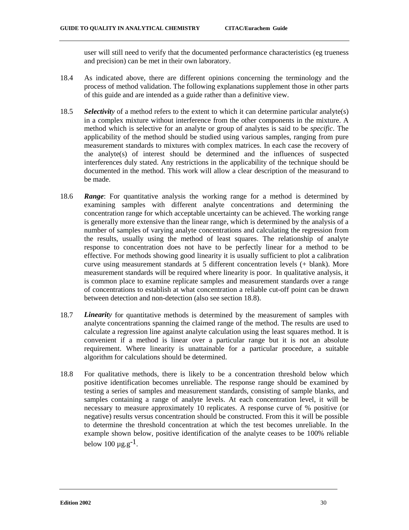user will still need to verify that the documented performance characteristics (eg trueness and precision) can be met in their own laboratory.

- 18.4 As indicated above, there are different opinions concerning the terminology and the process of method validation. The following explanations supplement those in other parts of this guide and are intended as a guide rather than a definitive view.
- 18.5 *Selectivity* of a method refers to the extent to which it can determine particular analyte(s) in a complex mixture without interference from the other components in the mixture. A method which is selective for an analyte or group of analytes is said to be *specific*. The applicability of the method should be studied using various samples, ranging from pure measurement standards to mixtures with complex matrices. In each case the recovery of the analyte(s) of interest should be determined and the influences of suspected interferences duly stated. Any restrictions in the applicability of the technique should be documented in the method. This work will allow a clear description of the measurand to be made.
- 18.6 *Range*: For quantitative analysis the working range for a method is determined by examining samples with different analyte concentrations and determining the concentration range for which acceptable uncertainty can be achieved. The working range is generally more extensive than the linear range, which is determined by the analysis of a number of samples of varying analyte concentrations and calculating the regression from the results, usually using the method of least squares. The relationship of analyte response to concentration does not have to be perfectly linear for a method to be effective. For methods showing good linearity it is usually sufficient to plot a calibration curve using measurement standards at 5 different concentration levels (+ blank). More measurement standards will be required where linearity is poor. In qualitative analysis, it is common place to examine replicate samples and measurement standards over a range of concentrations to establish at what concentration a reliable cut-off point can be drawn between detection and non-detection (also see section 18.8).
- 18.7 *Linearity* for quantitative methods is determined by the measurement of samples with analyte concentrations spanning the claimed range of the method. The results are used to calculate a regression line against analyte calculation using the least squares method. It is convenient if a method is linear over a particular range but it is not an absolute requirement. Where linearity is unattainable for a particular procedure, a suitable algorithm for calculations should be determined.
- 18.8 For qualitative methods, there is likely to be a concentration threshold below which positive identification becomes unreliable. The response range should be examined by testing a series of samples and measurement standards, consisting of sample blanks, and samples containing a range of analyte levels. At each concentration level, it will be necessary to measure approximately 10 replicates. A response curve of % positive (or negative) results versus concentration should be constructed. From this it will be possible to determine the threshold concentration at which the test becomes unreliable. In the example shown below, positive identification of the analyte ceases to be 100% reliable below 100  $\mu$ g.g<sup>-1</sup>.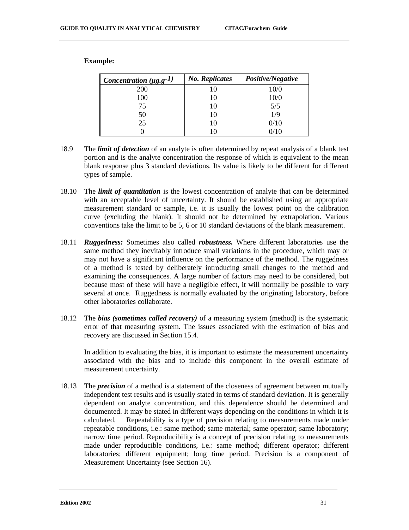| <i>Concentration</i> ( $\mu$ g.g <sup>-1)</sup> | <b>No. Replicates</b> | Positive/Negative |
|-------------------------------------------------|-----------------------|-------------------|
| 200                                             | 10                    | 10/0              |
| 100                                             | 10                    | 10/0              |
| 75                                              | 10                    | 5/5               |
| 50                                              | 10                    | 1/9               |
| 25                                              | IО                    | 0/10              |
|                                                 |                       |                   |

#### **Example:**

- 18.9 The *limit of detection* of an analyte is often determined by repeat analysis of a blank test portion and is the analyte concentration the response of which is equivalent to the mean blank response plus 3 standard deviations. Its value is likely to be different for different types of sample.
- 18.10 The *limit of quantitation* is the lowest concentration of analyte that can be determined with an acceptable level of uncertainty. It should be established using an appropriate measurement standard or sample, i.e. it is usually the lowest point on the calibration curve (excluding the blank). It should not be determined by extrapolation. Various conventions take the limit to be 5, 6 or 10 standard deviations of the blank measurement.
- 18.11 *Ruggedness:* Sometimes also called *robustness.* Where different laboratories use the same method they inevitably introduce small variations in the procedure, which may or may not have a significant influence on the performance of the method. The ruggedness of a method is tested by deliberately introducing small changes to the method and examining the consequences. A large number of factors may need to be considered, but because most of these will have a negligible effect, it will normally be possible to vary several at once. Ruggedness is normally evaluated by the originating laboratory, before other laboratories collaborate.
- 18.12 The *bias (sometimes called recovery)* of a measuring system (method) is the systematic error of that measuring system. The issues associated with the estimation of bias and recovery are discussed in Section 15.4.

In addition to evaluating the bias, it is important to estimate the measurement uncertainty associated with the bias and to include this component in the overall estimate of measurement uncertainty.

18.13 The *precision* of a method is a statement of the closeness of agreement between mutually independent test results and is usually stated in terms of standard deviation. It is generally dependent on analyte concentration, and this dependence should be determined and documented. It may be stated in different ways depending on the conditions in which it is calculated. Repeatability is a type of precision relating to measurements made under repeatable conditions, i.e.: same method; same material; same operator; same laboratory; narrow time period. Reproducibility is a concept of precision relating to measurements made under reproducible conditions, i.e.: same method; different operator; different laboratories; different equipment; long time period. Precision is a component of Measurement Uncertainty (see Section 16).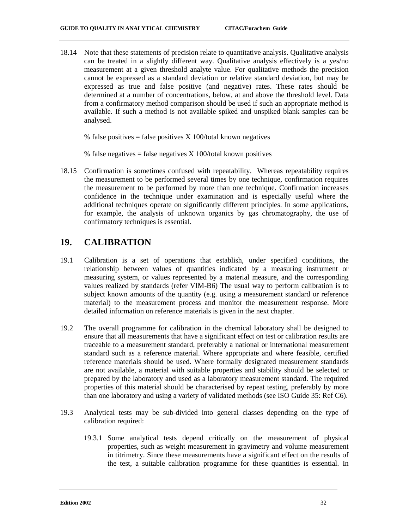- 18.14 Note that these statements of precision relate to quantitative analysis. Qualitative analysis can be treated in a slightly different way. Qualitative analysis effectively is a yes/no measurement at a given threshold analyte value. For qualitative methods the precision cannot be expressed as a standard deviation or relative standard deviation, but may be expressed as true and false positive (and negative) rates. These rates should be determined at a number of concentrations, below, at and above the threshold level. Data from a confirmatory method comparison should be used if such an appropriate method is available. If such a method is not available spiked and unspiked blank samples can be analysed.
	- % false positives  $=$  false positives X 100/total known negatives
	- % false negatives = false negatives  $X$  100/total known positives
- 18.15 Confirmation is sometimes confused with repeatability. Whereas repeatability requires the measurement to be performed several times by one technique, confirmation requires the measurement to be performed by more than one technique. Confirmation increases confidence in the technique under examination and is especially useful where the additional techniques operate on significantly different principles. In some applications, for example, the analysis of unknown organics by gas chromatography, the use of confirmatory techniques is essential.

## **19. CALIBRATION**

- 19.1 Calibration is a set of operations that establish, under specified conditions, the relationship between values of quantities indicated by a measuring instrument or measuring system, or values represented by a material measure, and the corresponding values realized by standards (refer VIM-B6) The usual way to perform calibration is to subject known amounts of the quantity (e.g. using a measurement standard or reference material) to the measurement process and monitor the measurement response. More detailed information on reference materials is given in the next chapter.
- 19.2 The overall programme for calibration in the chemical laboratory shall be designed to ensure that all measurements that have a significant effect on test or calibration results are traceable to a measurement standard, preferably a national or international measurement standard such as a reference material. Where appropriate and where feasible, certified reference materials should be used. Where formally designated measurement standards are not available, a material with suitable properties and stability should be selected or prepared by the laboratory and used as a laboratory measurement standard. The required properties of this material should be characterised by repeat testing, preferably by more than one laboratory and using a variety of validated methods (see ISO Guide 35: Ref C6).
- 19.3 Analytical tests may be sub-divided into general classes depending on the type of calibration required:
	- 19.3.1 Some analytical tests depend critically on the measurement of physical properties, such as weight measurement in gravimetry and volume measurement in titrimetry. Since these measurements have a significant effect on the results of the test, a suitable calibration programme for these quantities is essential. In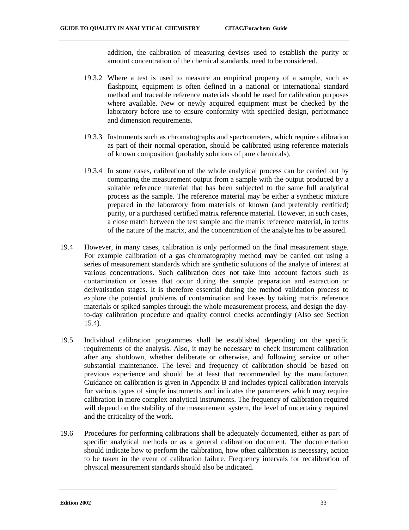addition, the calibration of measuring devises used to establish the purity or amount concentration of the chemical standards, need to be considered.

- 19.3.2 Where a test is used to measure an empirical property of a sample, such as flashpoint, equipment is often defined in a national or international standard method and traceable reference materials should be used for calibration purposes where available. New or newly acquired equipment must be checked by the laboratory before use to ensure conformity with specified design, performance and dimension requirements.
- 19.3.3 Instruments such as chromatographs and spectrometers, which require calibration as part of their normal operation, should be calibrated using reference materials of known composition (probably solutions of pure chemicals).
- 19.3.4 In some cases, calibration of the whole analytical process can be carried out by comparing the measurement output from a sample with the output produced by a suitable reference material that has been subjected to the same full analytical process as the sample. The reference material may be either a synthetic mixture prepared in the laboratory from materials of known (and preferably certified) purity, or a purchased certified matrix reference material. However, in such cases, a close match between the test sample and the matrix reference material, in terms of the nature of the matrix, and the concentration of the analyte has to be assured.
- 19.4 However, in many cases, calibration is only performed on the final measurement stage. For example calibration of a gas chromatography method may be carried out using a series of measurement standards which are synthetic solutions of the analyte of interest at various concentrations. Such calibration does not take into account factors such as contamination or losses that occur during the sample preparation and extraction or derivatisation stages. It is therefore essential during the method validation process to explore the potential problems of contamination and losses by taking matrix reference materials or spiked samples through the whole measurement process, and design the dayto-day calibration procedure and quality control checks accordingly (Also see Section 15.4).
- 19.5 Individual calibration programmes shall be established depending on the specific requirements of the analysis. Also, it may be necessary to check instrument calibration after any shutdown, whether deliberate or otherwise, and following service or other substantial maintenance. The level and frequency of calibration should be based on previous experience and should be at least that recommended by the manufacturer. Guidance on calibration is given in Appendix B and includes typical calibration intervals for various types of simple instruments and indicates the parameters which may require calibration in more complex analytical instruments. The frequency of calibration required will depend on the stability of the measurement system, the level of uncertainty required and the criticality of the work.
- 19.6 Procedures for performing calibrations shall be adequately documented, either as part of specific analytical methods or as a general calibration document. The documentation should indicate how to perform the calibration, how often calibration is necessary, action to be taken in the event of calibration failure. Frequency intervals for recalibration of physical measurement standards should also be indicated.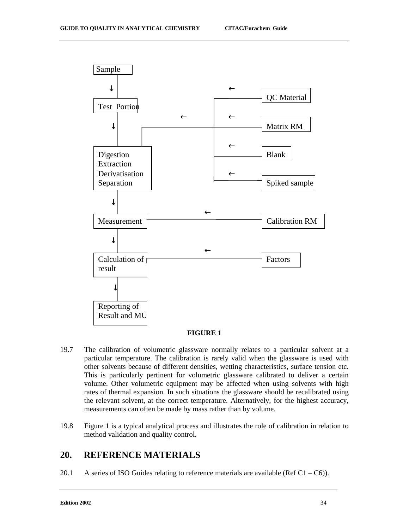

#### **FIGURE 1**

- 19.7 The calibration of volumetric glassware normally relates to a particular solvent at a particular temperature. The calibration is rarely valid when the glassware is used with other solvents because of different densities, wetting characteristics, surface tension etc. This is particularly pertinent for volumetric glassware calibrated to deliver a certain volume. Other volumetric equipment may be affected when using solvents with high rates of thermal expansion. In such situations the glassware should be recalibrated using the relevant solvent, at the correct temperature. Alternatively, for the highest accuracy, measurements can often be made by mass rather than by volume.
- 19.8 Figure 1 is a typical analytical process and illustrates the role of calibration in relation to method validation and quality control.

## **20. REFERENCE MATERIALS**

20.1 A series of ISO Guides relating to reference materials are available (Ref C1 – C6)).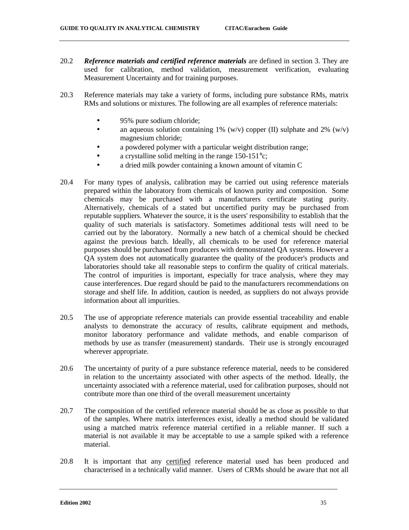- 20.2 *Reference materials and certified reference materials* are defined in section 3. They are used for calibration, method validation, measurement verification, evaluating Measurement Uncertainty and for training purposes.
- 20.3 Reference materials may take a variety of forms, including pure substance RMs, matrix RMs and solutions or mixtures. The following are all examples of reference materials:
	- 95% pure sodium chloride;
	- an aqueous solution containing 1% (w/v) copper (II) sulphate and 2% (w/v) magnesium chloride;
	- a powdered polymer with a particular weight distribution range;
	- a crystalline solid melting in the range  $150-151^{\circ}$ c;
	- a dried milk powder containing a known amount of vitamin C
- 20.4 For many types of analysis, calibration may be carried out using reference materials prepared within the laboratory from chemicals of known purity and composition. Some chemicals may be purchased with a manufacturers certificate stating purity. Alternatively, chemicals of a stated but uncertified purity may be purchased from reputable suppliers. Whatever the source, it is the users' responsibility to establish that the quality of such materials is satisfactory. Sometimes additional tests will need to be carried out by the laboratory. Normally a new batch of a chemical should be checked against the previous batch. Ideally, all chemicals to be used for reference material purposes should be purchased from producers with demonstrated QA systems. However a QA system does not automatically guarantee the quality of the producer's products and laboratories should take all reasonable steps to confirm the quality of critical materials. The control of impurities is important, especially for trace analysis, where they may cause interferences. Due regard should be paid to the manufacturers recommendations on storage and shelf life. In addition, caution is needed, as suppliers do not always provide information about all impurities.
- 20.5 The use of appropriate reference materials can provide essential traceability and enable analysts to demonstrate the accuracy of results, calibrate equipment and methods, monitor laboratory performance and validate methods, and enable comparison of methods by use as transfer (measurement) standards. Their use is strongly encouraged wherever appropriate.
- 20.6 The uncertainty of purity of a pure substance reference material, needs to be considered in relation to the uncertainty associated with other aspects of the method. Ideally, the uncertainty associated with a reference material, used for calibration purposes, should not contribute more than one third of the overall measurement uncertainty
- 20.7 The composition of the certified reference material should be as close as possible to that of the samples. Where matrix interferences exist, ideally a method should be validated using a matched matrix reference material certified in a reliable manner. If such a material is not available it may be acceptable to use a sample spiked with a reference material.
- 20.8 It is important that any certified reference material used has been produced and characterised in a technically valid manner. Users of CRMs should be aware that not all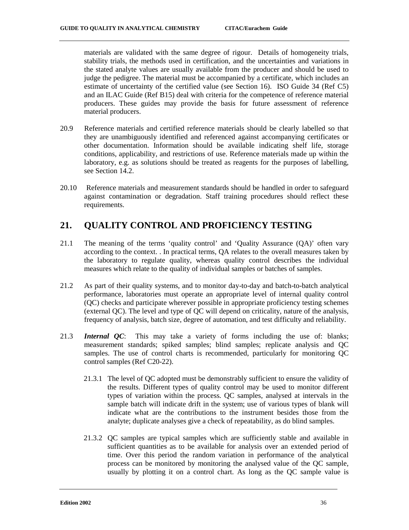materials are validated with the same degree of rigour. Details of homogeneity trials, stability trials, the methods used in certification, and the uncertainties and variations in the stated analyte values are usually available from the producer and should be used to judge the pedigree. The material must be accompanied by a certificate, which includes an estimate of uncertainty of the certified value (see Section 16). ISO Guide 34 (Ref C5) and an ILAC Guide (Ref B15) deal with criteria for the competence of reference material producers. These guides may provide the basis for future assessment of reference material producers.

- 20.9 Reference materials and certified reference materials should be clearly labelled so that they are unambiguously identified and referenced against accompanying certificates or other documentation. Information should be available indicating shelf life, storage conditions, applicability, and restrictions of use. Reference materials made up within the laboratory, e.g. as solutions should be treated as reagents for the purposes of labelling, see Section 14.2.
- 20.10 Reference materials and measurement standards should be handled in order to safeguard against contamination or degradation. Staff training procedures should reflect these requirements.

## **21. QUALITY CONTROL AND PROFICIENCY TESTING**

- 21.1 The meaning of the terms 'quality control' and 'Quality Assurance (QA)' often vary according to the context. . In practical terms, QA relates to the overall measures taken by the laboratory to regulate quality, whereas quality control describes the individual measures which relate to the quality of individual samples or batches of samples.
- 21.2 As part of their quality systems, and to monitor day-to-day and batch-to-batch analytical performance, laboratories must operate an appropriate level of internal quality control (QC) checks and participate wherever possible in appropriate proficiency testing schemes (external QC). The level and type of QC will depend on criticality, nature of the analysis, frequency of analysis, batch size, degree of automation, and test difficulty and reliability.
- 21.3 *Internal QC*: This may take a variety of forms including the use of: blanks; measurement standards; spiked samples; blind samples; replicate analysis and QC samples. The use of control charts is recommended, particularly for monitoring QC control samples (Ref C20-22).
	- 21.3.1 The level of QC adopted must be demonstrably sufficient to ensure the validity of the results. Different types of quality control may be used to monitor different types of variation within the process. QC samples, analysed at intervals in the sample batch will indicate drift in the system; use of various types of blank will indicate what are the contributions to the instrument besides those from the analyte; duplicate analyses give a check of repeatability, as do blind samples.
	- 21.3.2 QC samples are typical samples which are sufficiently stable and available in sufficient quantities as to be available for analysis over an extended period of time. Over this period the random variation in performance of the analytical process can be monitored by monitoring the analysed value of the QC sample, usually by plotting it on a control chart. As long as the QC sample value is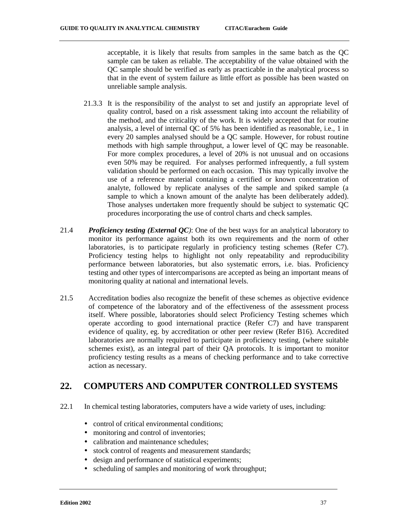acceptable, it is likely that results from samples in the same batch as the QC sample can be taken as reliable. The acceptability of the value obtained with the QC sample should be verified as early as practicable in the analytical process so that in the event of system failure as little effort as possible has been wasted on unreliable sample analysis.

- 21.3.3 It is the responsibility of the analyst to set and justify an appropriate level of quality control, based on a risk assessment taking into account the reliability of the method, and the criticality of the work. It is widely accepted that for routine analysis, a level of internal QC of 5% has been identified as reasonable, i.e., 1 in every 20 samples analysed should be a QC sample. However, for robust routine methods with high sample throughput, a lower level of QC may be reasonable. For more complex procedures, a level of 20% is not unusual and on occasions even 50% may be required. For analyses performed infrequently, a full system validation should be performed on each occasion. This may typically involve the use of a reference material containing a certified or known concentration of analyte, followed by replicate analyses of the sample and spiked sample (a sample to which a known amount of the analyte has been deliberately added). Those analyses undertaken more frequently should be subject to systematic QC procedures incorporating the use of control charts and check samples.
- 21.4 *Proficiency testing (External QC)*: One of the best ways for an analytical laboratory to monitor its performance against both its own requirements and the norm of other laboratories, is to participate regularly in proficiency testing schemes (Refer C7). Proficiency testing helps to highlight not only repeatability and reproducibility performance between laboratories, but also systematic errors, i.e. bias. Proficiency testing and other types of intercomparisons are accepted as being an important means of monitoring quality at national and international levels.
- 21.5 Accreditation bodies also recognize the benefit of these schemes as objective evidence of competence of the laboratory and of the effectiveness of the assessment process itself. Where possible, laboratories should select Proficiency Testing schemes which operate according to good international practice (Refer C7) and have transparent evidence of quality, eg. by accreditation or other peer review (Refer B16). Accredited laboratories are normally required to participate in proficiency testing, (where suitable schemes exist), as an integral part of their QA protocols. It is important to monitor proficiency testing results as a means of checking performance and to take corrective action as necessary.

## **22. COMPUTERS AND COMPUTER CONTROLLED SYSTEMS**

- 22.1 In chemical testing laboratories, computers have a wide variety of uses, including:
	- control of critical environmental conditions;
	- monitoring and control of inventories:
	- calibration and maintenance schedules;
	- stock control of reagents and measurement standards;
	- design and performance of statistical experiments;
	- scheduling of samples and monitoring of work throughput;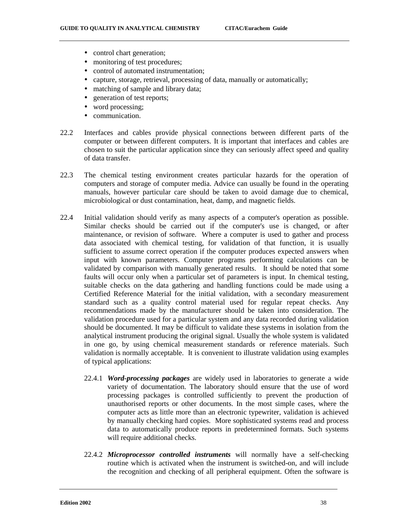- control chart generation;
- monitoring of test procedures;
- control of automated instrumentation:
- capture, storage, retrieval, processing of data, manually or automatically;
- matching of sample and library data;
- generation of test reports;
- word processing;
- communication.
- 22.2 Interfaces and cables provide physical connections between different parts of the computer or between different computers. It is important that interfaces and cables are chosen to suit the particular application since they can seriously affect speed and quality of data transfer.
- 22.3 The chemical testing environment creates particular hazards for the operation of computers and storage of computer media. Advice can usually be found in the operating manuals, however particular care should be taken to avoid damage due to chemical, microbiological or dust contamination, heat, damp, and magnetic fields.
- 22.4 Initial validation should verify as many aspects of a computer's operation as possible. Similar checks should be carried out if the computer's use is changed, or after maintenance, or revision of software. Where a computer is used to gather and process data associated with chemical testing, for validation of that function, it is usually sufficient to assume correct operation if the computer produces expected answers when input with known parameters. Computer programs performing calculations can be validated by comparison with manually generated results. It should be noted that some faults will occur only when a particular set of parameters is input. In chemical testing, suitable checks on the data gathering and handling functions could be made using a Certified Reference Material for the initial validation, with a secondary measurement standard such as a quality control material used for regular repeat checks. Any recommendations made by the manufacturer should be taken into consideration. The validation procedure used for a particular system and any data recorded during validation should be documented. It may be difficult to validate these systems in isolation from the analytical instrument producing the original signal. Usually the whole system is validated in one go, by using chemical measurement standards or reference materials. Such validation is normally acceptable. It is convenient to illustrate validation using examples of typical applications:
	- 22.4.1 *Word-processing packages* are widely used in laboratories to generate a wide variety of documentation. The laboratory should ensure that the use of word processing packages is controlled sufficiently to prevent the production of unauthorised reports or other documents. In the most simple cases, where the computer acts as little more than an electronic typewriter, validation is achieved by manually checking hard copies. More sophisticated systems read and process data to automatically produce reports in predetermined formats. Such systems will require additional checks.
	- 22.4.2 *Microprocessor controlled instruments* will normally have a self-checking routine which is activated when the instrument is switched-on, and will include the recognition and checking of all peripheral equipment. Often the software is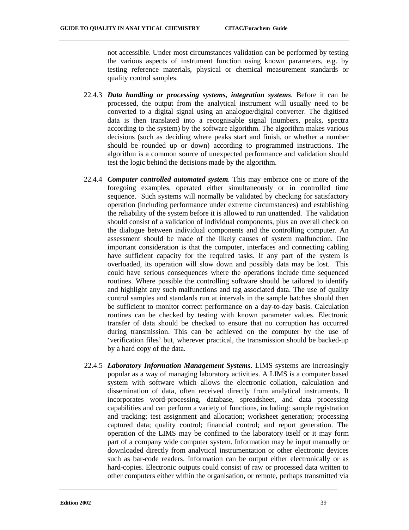not accessible. Under most circumstances validation can be performed by testing the various aspects of instrument function using known parameters, e.g. by testing reference materials, physical or chemical measurement standards or quality control samples.

- 22.4.3 *Data handling or processing systems, integration systems.* Before it can be processed, the output from the analytical instrument will usually need to be converted to a digital signal using an analogue/digital converter. The digitised data is then translated into a recognisable signal (numbers, peaks, spectra according to the system) by the software algorithm. The algorithm makes various decisions (such as deciding where peaks start and finish, or whether a number should be rounded up or down) according to programmed instructions. The algorithm is a common source of unexpected performance and validation should test the logic behind the decisions made by the algorithm.
- 22.4.4 *Computer controlled automated system.* This may embrace one or more of the foregoing examples, operated either simultaneously or in controlled time sequence. Such systems will normally be validated by checking for satisfactory operation (including performance under extreme circumstances) and establishing the reliability of the system before it is allowed to run unattended. The validation should consist of a validation of individual components, plus an overall check on the dialogue between individual components and the controlling computer. An assessment should be made of the likely causes of system malfunction. One important consideration is that the computer, interfaces and connecting cabling have sufficient capacity for the required tasks. If any part of the system is overloaded, its operation will slow down and possibly data may be lost. This could have serious consequences where the operations include time sequenced routines. Where possible the controlling software should be tailored to identify and highlight any such malfunctions and tag associated data. The use of quality control samples and standards run at intervals in the sample batches should then be sufficient to monitor correct performance on a day-to-day basis. Calculation routines can be checked by testing with known parameter values. Electronic transfer of data should be checked to ensure that no corruption has occurred during transmission. This can be achieved on the computer by the use of 'verification files' but, wherever practical, the transmission should be backed-up by a hard copy of the data.
- 22.4.5 *Laboratory Information Management Systems*. LIMS systems are increasingly popular as a way of managing laboratory activities. A LIMS is a computer based system with software which allows the electronic collation, calculation and dissemination of data, often received directly from analytical instruments. It incorporates word-processing, database, spreadsheet, and data processing capabilities and can perform a variety of functions, including: sample registration and tracking; test assignment and allocation; worksheet generation; processing captured data; quality control; financial control; and report generation. The operation of the LIMS may be confined to the laboratory itself or it may form part of a company wide computer system. Information may be input manually or downloaded directly from analytical instrumentation or other electronic devices such as bar-code readers. Information can be output either electronically or as hard-copies. Electronic outputs could consist of raw or processed data written to other computers either within the organisation, or remote, perhaps transmitted via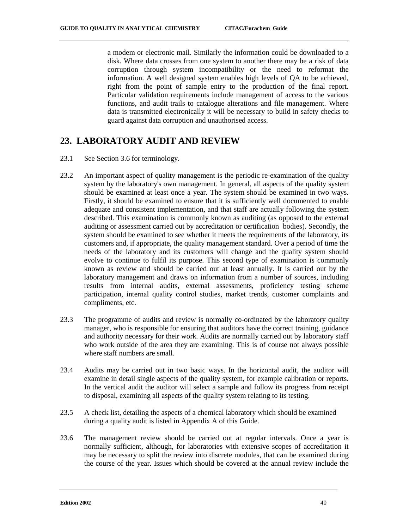a modem or electronic mail. Similarly the information could be downloaded to a disk. Where data crosses from one system to another there may be a risk of data corruption through system incompatibility or the need to reformat the information. A well designed system enables high levels of QA to be achieved, right from the point of sample entry to the production of the final report. Particular validation requirements include management of access to the various functions, and audit trails to catalogue alterations and file management. Where data is transmitted electronically it will be necessary to build in safety checks to guard against data corruption and unauthorised access.

## **23. LABORATORY AUDIT AND REVIEW**

- 23.1 See Section 3.6 for terminology.
- 23.2 An important aspect of quality management is the periodic re-examination of the quality system by the laboratory's own management. In general, all aspects of the quality system should be examined at least once a year. The system should be examined in two ways. Firstly, it should be examined to ensure that it is sufficiently well documented to enable adequate and consistent implementation, and that staff are actually following the system described. This examination is commonly known as auditing (as opposed to the external auditing or assessment carried out by accreditation or certification bodies). Secondly, the system should be examined to see whether it meets the requirements of the laboratory, its customers and, if appropriate, the quality management standard. Over a period of time the needs of the laboratory and its customers will change and the quality system should evolve to continue to fulfil its purpose. This second type of examination is commonly known as review and should be carried out at least annually. It is carried out by the laboratory management and draws on information from a number of sources, including results from internal audits, external assessments, proficiency testing scheme participation, internal quality control studies, market trends, customer complaints and compliments, etc.
- 23.3 The programme of audits and review is normally co-ordinated by the laboratory quality manager, who is responsible for ensuring that auditors have the correct training, guidance and authority necessary for their work. Audits are normally carried out by laboratory staff who work outside of the area they are examining. This is of course not always possible where staff numbers are small.
- 23.4 Audits may be carried out in two basic ways. In the horizontal audit, the auditor will examine in detail single aspects of the quality system, for example calibration or reports. In the vertical audit the auditor will select a sample and follow its progress from receipt to disposal, examining all aspects of the quality system relating to its testing.
- 23.5 A check list, detailing the aspects of a chemical laboratory which should be examined during a quality audit is listed in Appendix A of this Guide.
- 23.6 The management review should be carried out at regular intervals. Once a year is normally sufficient, although, for laboratories with extensive scopes of accreditation it may be necessary to split the review into discrete modules, that can be examined during the course of the year. Issues which should be covered at the annual review include the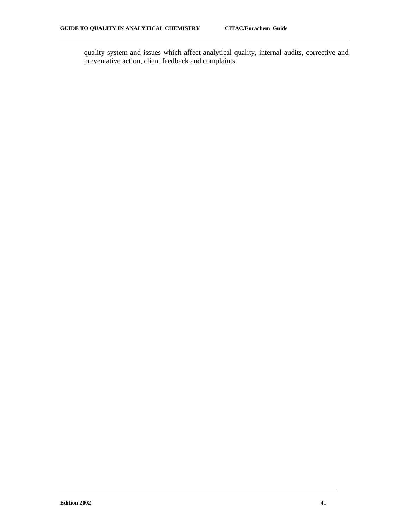quality system and issues which affect analytical quality, internal audits, corrective and preventative action, client feedback and complaints.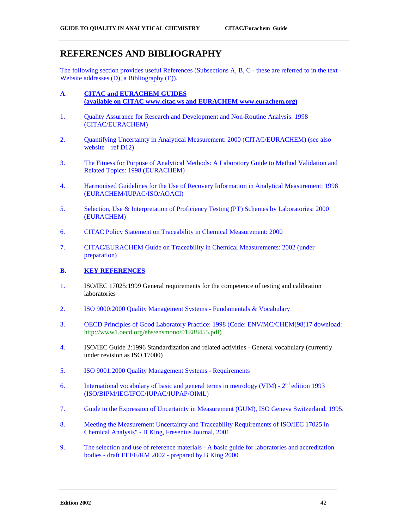## **REFERENCES AND BIBLIOGRAPHY**

The following section provides useful References (Subsections A, B, C - these are referred to in the text - Website addresses (D), a Bibliography (E)).

- **A**. **CITAC and EURACHEM GUIDES (available on CITAC www.citac.ws and EURACHEM www.eurachem.org)**
- 1. Quality Assurance for Research and Development and Non-Routine Analysis: 1998 (CITAC/EURACHEM)
- 2. Quantifying Uncertainty in Analytical Measurement: 2000 (CITAC/EURACHEM) (see also website – ref D12)
- 3. The Fitness for Purpose of Analytical Methods: A Laboratory Guide to Method Validation and Related Topics: 1998 (EURACHEM)
- 4. Harmonised Guidelines for the Use of Recovery Information in Analytical Measurement: 1998 (EURACHEM/IUPAC/ISO/AOACI)
- 5. Selection, Use & Interpretation of Proficiency Testing (PT) Schemes by Laboratories: 2000 (EURACHEM)
- 6. CITAC Policy Statement on Traceability in Chemical Measurement: 2000
- 7. CITAC/EURACHEM Guide on Traceability in Chemical Measurements: 2002 (under preparation)

#### **B. KEY REFERENCES**

- 1. ISO/IEC 17025:1999 General requirements for the competence of testing and calibration laboratories
- 2. ISO 9000:2000 Quality Management Systems Fundamentals & Vocabulary
- 3. OECD Principles of Good Laboratory Practice: 1998 (Code: ENV/MC/CHEM(98)17 download: http://www1.oecd.org/ehs/ehsmono/01E88455.pdf)
- 4. ISO/IEC Guide 2:1996 Standardization and related activities General vocabulary (currently under revision as ISO 17000)
- 5. ISO 9001:2000 Quality Management Systems Requirements
- 6. International vocabulary of basic and general terms in metrology (VIM)  $2<sup>nd</sup>$  edition 1993 (ISO/BIPM/IEC/IFCC/IUPAC/IUPAP/OIML)
- 7. Guide to the Expression of Uncertainty in Measurement (GUM), ISO Geneva Switzerland, 1995.
- 8. Meeting the Measurement Uncertainty and Traceability Requirements of ISO/IEC 17025 in Chemical Analysis" - B King, Fresenius Journal, 2001
- 9. The selection and use of reference materials A basic guide for laboratories and accreditation bodies - draft EEEE/RM 2002 - prepared by B King 2000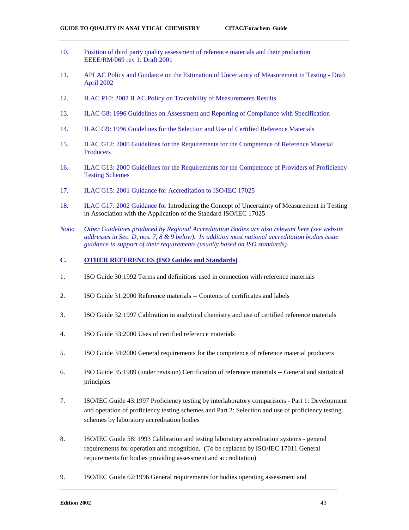- 10. Position of third party quality assessment of reference materials and their production EEEE/RM/069 rev 1: Draft 2001
- 11. APLAC Policy and Guidance on the Estimation of Uncertainty of Measurement in Testing Draft April 2002
- 12. ILAC P10: 2002 ILAC Policy on Traceability of Measurements Results
- 13. ILAC G8: 1996 Guidelines on Assessment and Reporting of Compliance with Specification
- 14. ILAC G9: 1996 Guidelines for the Selection and Use of Certified Reference Materials
- 15. ILAC G12: 2000 Guidelines for the Requirements for the Competence of Reference Material **Producers**
- 16. ILAC G13: 2000 Guidelines for the Requirements for the Competence of Providers of Proficiency Testing Schemes
- 17. **ILAC G15: 2001 Guidance for Accreditation to ISO/IEC 17025**
- 18. ILAC G17: 2002 Guidance for Introducing the Concept of Uncertainty of Measurement in Testing in Association with the Application of the Standard ISO/IEC 17025
- *Note: Other Guidelines produced by Regional Accreditation Bodies are also relevant here (see website addresses in Sec. D, nos. 7, 8 & 9 below). In addition most national accreditation bodies issue guidance in support of their requirements (usually based on ISO standards).*

#### **C. OTHER REFERENCES (ISO Guides and Standards)**

- 1. ISO Guide 30:1992 Terms and definitions used in connection with reference materials
- 2. ISO Guide 31:2000 Reference materials -- Contents of certificates and labels
- 3. ISO Guide 32:1997 Calibration in analytical chemistry and use of certified reference materials
- 4. ISO Guide 33:2000 Uses of certified reference materials
- 5. ISO Guide 34:2000 General requirements for the competence of reference material producers
- 6. ISO Guide 35:1989 (under revision) Certification of reference materials -- General and statistical principles
- 7. ISO/IEC Guide 43:1997 Proficiency testing by interlaboratory comparisons Part 1: Development and operation of proficiency testing schemes and Part 2: Selection and use of proficiency testing schemes by laboratory accreditation bodies
- 8. ISO/IEC Guide 58: 1993 Calibration and testing laboratory accreditation systems general requirements for operation and recognition. (To be replaced by ISO/IEC 17011 General requirements for bodies providing assessment and accreditation)
- 9. ISO/IEC Guide 62:1996 General requirements for bodies operating assessment and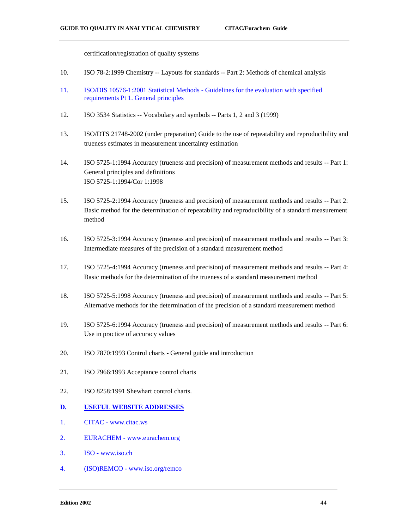certification/registration of quality systems

- 10. ISO 78-2:1999 Chemistry -- Layouts for standards -- Part 2: Methods of chemical analysis
- 11. ISO/DIS 10576-1:2001 Statistical Methods Guidelines for the evaluation with specified requirements Pt 1. General principles
- 12. ISO 3534 Statistics -- Vocabulary and symbols -- Parts 1, 2 and 3 (1999)
- 13. ISO/DTS 21748-2002 (under preparation) Guide to the use of repeatability and reproducibility and trueness estimates in measurement uncertainty estimation
- 14. ISO 5725-1:1994 Accuracy (trueness and precision) of measurement methods and results -- Part 1: General principles and definitions ISO 5725-1:1994/Cor 1:1998
- 15. ISO 5725-2:1994 Accuracy (trueness and precision) of measurement methods and results -- Part 2: Basic method for the determination of repeatability and reproducibility of a standard measurement method
- 16. ISO 5725-3:1994 Accuracy (trueness and precision) of measurement methods and results -- Part 3: Intermediate measures of the precision of a standard measurement method
- 17. ISO 5725-4:1994 Accuracy (trueness and precision) of measurement methods and results -- Part 4: Basic methods for the determination of the trueness of a standard measurement method
- 18. ISO 5725-5:1998 Accuracy (trueness and precision) of measurement methods and results -- Part 5: Alternative methods for the determination of the precision of a standard measurement method
- 19. ISO 5725-6:1994 Accuracy (trueness and precision) of measurement methods and results -- Part 6: Use in practice of accuracy values
- 20. ISO 7870:1993 Control charts General guide and introduction
- 21. ISO 7966:1993 Acceptance control charts
- 22. ISO 8258:1991 Shewhart control charts.
- **D. USEFUL WEBSITE ADDRESSES**
- 1. CITAC www.citac.ws
- 2. EURACHEM www.eurachem.org
- 3. ISO www.iso.ch
- 4. (ISO)REMCO www.iso.org/remco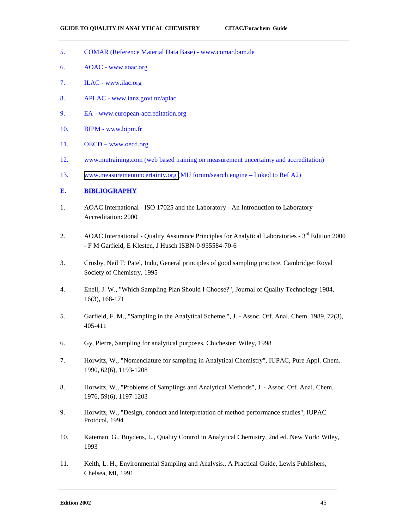- 5. COMAR (Reference Material Data Base) www.comar.bam.de
- 6. AOAC www.aoac.org
- 7. ILAC www.ilac.org
- 8. APLAC www.ianz.govt.nz/aplac
- 9. EA www.european-accreditation.org
- 10. BIPM www.bipm.fr
- 11. OECD www.oecd.org
- 12. www.mutraining.com (web based training on measurement uncertainty and accreditation)
- 13. [www.measurementuncertainty.org \(](http://www.measurementuncertainty.org/)MU forum/search engine linked to Ref A2)

#### **E. BIBLIOGRAPHY**

- 1. AOAC International ISO 17025 and the Laboratory An Introduction to Laboratory Accreditation: 2000
- 2. AOAC International Quality Assurance Principles for Analytical Laboratories 3<sup>rd</sup> Edition 2000 - F M Garfield, E Klesten, J Husch ISBN-0-935584-70-6
- 3. Crosby, Neil T; Patel, Indu, General principles of good sampling practice, Cambridge: Royal Society of Chemistry, 1995
- 4. Enell, J. W., "Which Sampling Plan Should I Choose?", Journal of Quality Technology 1984, 16(3), 168-171
- 5. Garfield, F. M., "Sampling in the Analytical Scheme.", J. Assoc. Off. Anal. Chem. 1989, 72(3), 405-411
- 6. Gy, Pierre, Sampling for analytical purposes, Chichester: Wiley, 1998
- 7. Horwitz, W., "Nomenclature for sampling in Analytical Chemistry", IUPAC, Pure Appl. Chem. 1990, 62(6), 1193-1208
- 8. Horwitz, W., "Problems of Samplings and Analytical Methods", J. Assoc. Off. Anal. Chem. 1976, 59(6), 1197-1203
- 9. Horwitz, W., "Design, conduct and interpretation of method performance studies", IUPAC Protocol, 1994
- 10. Kateman, G., Buydens, L., Quality Control in Analytical Chemistry, 2nd ed. New York: Wiley, 1993
- 11. Keith, L. H., Environmental Sampling and Analysis., A Practical Guide, Lewis Publishers, Chelsea, MI, 1991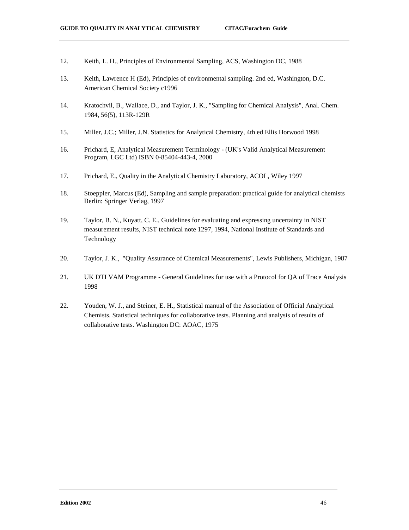- 12. Keith, L. H., Principles of Environmental Sampling, ACS, Washington DC, 1988
- 13. Keith, Lawrence H (Ed), Principles of environmental sampling. 2nd ed, Washington, D.C. American Chemical Society c1996
- 14. Kratochvil, B., Wallace, D., and Taylor, J. K., "Sampling for Chemical Analysis", Anal. Chem. 1984, 56(5), 113R-129R
- 15. Miller, J.C.; Miller, J.N. Statistics for Analytical Chemistry, 4th ed Ellis Horwood 1998
- 16. Prichard, E, Analytical Measurement Terminology (UK's Valid Analytical Measurement Program, LGC Ltd) ISBN 0-85404-443-4, 2000
- 17. Prichard, E., Quality in the Analytical Chemistry Laboratory, ACOL, Wiley 1997
- 18. Stoeppler, Marcus (Ed), Sampling and sample preparation: practical guide for analytical chemists Berlin: Springer Verlag, 1997
- 19. Taylor, B. N., Kuyatt, C. E., Guidelines for evaluating and expressing uncertainty in NIST measurement results, NIST technical note 1297, 1994, National Institute of Standards and Technology
- 20. Taylor, J. K., "Quality Assurance of Chemical Measurements", Lewis Publishers, Michigan, 1987
- 21. UK DTI VAM Programme General Guidelines for use with a Protocol for QA of Trace Analysis 1998
- 22. Youden, W. J., and Steiner, E. H., Statistical manual of the Association of Official Analytical Chemists. Statistical techniques for collaborative tests. Planning and analysis of results of collaborative tests. Washington DC: AOAC, 1975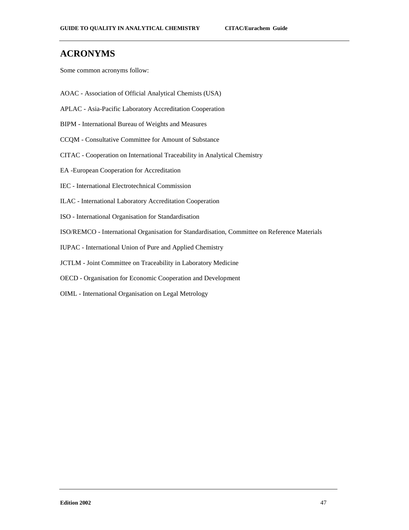## **ACRONYMS**

Some common acronyms follow:

- AOAC Association of Official Analytical Chemists (USA)
- APLAC Asia-Pacific Laboratory Accreditation Cooperation
- BIPM International Bureau of Weights and Measures
- CCQM Consultative Committee for Amount of Substance
- CITAC Cooperation on International Traceability in Analytical Chemistry
- EA -European Cooperation for Accreditation
- IEC International Electrotechnical Commission
- ILAC International Laboratory Accreditation Cooperation
- ISO International Organisation for Standardisation
- ISO/REMCO International Organisation for Standardisation, Committee on Reference Materials
- IUPAC International Union of Pure and Applied Chemistry
- JCTLM Joint Committee on Traceability in Laboratory Medicine
- OECD Organisation for Economic Cooperation and Development
- OIML International Organisation on Legal Metrology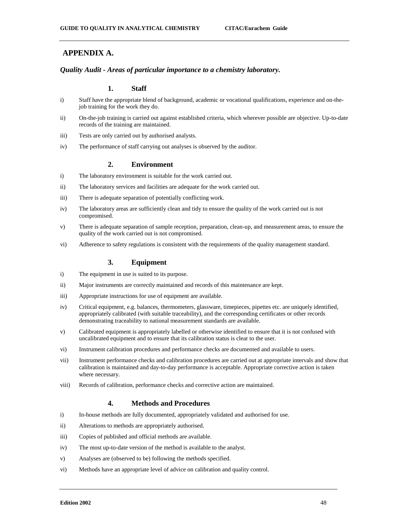#### **APPENDIX A.**

#### *Quality Audit - Areas of particular importance to a chemistry laboratory.*

#### **1. Staff**

- i) Staff have the appropriate blend of background, academic or vocational qualifications, experience and on-thejob training for the work they do.
- ii) On-the-job training is carried out against established criteria, which wherever possible are objective. Up-to-date records of the training are maintained.
- iii) Tests are only carried out by authorised analysts.
- iv) The performance of staff carrying out analyses is observed by the auditor.

#### **2. Environment**

- i) The laboratory environment is suitable for the work carried out.
- ii) The laboratory services and facilities are adequate for the work carried out.
- iii) There is adequate separation of potentially conflicting work.
- iv) The laboratory areas are sufficiently clean and tidy to ensure the quality of the work carried out is not compromised.
- v) There is adequate separation of sample reception, preparation, clean-up, and measurement areas, to ensure the quality of the work carried out is not compromised.
- vi) Adherence to safety regulations is consistent with the requirements of the quality management standard.

#### **3. Equipment**

- i) The equipment in use is suited to its purpose.
- ii) Major instruments are correctly maintained and records of this maintenance are kept.
- iii) Appropriate instructions for use of equipment are available.
- iv) Critical equipment, e.g. balances, thermometers, glassware, timepieces, pipettes etc. are uniquely identified, appropriately calibrated (with suitable traceability), and the corresponding certificates or other records demonstrating traceability to national measurement standards are available.
- v) Calibrated equipment is appropriately labelled or otherwise identified to ensure that it is not confused with uncalibrated equipment and to ensure that its calibration status is clear to the user.
- vi) Instrument calibration procedures and performance checks are documented and available to users.
- vii) Instrument performance checks and calibration procedures are carried out at appropriate intervals and show that calibration is maintained and day-to-day performance is acceptable. Appropriate corrective action is taken where necessary.
- viii) Records of calibration, performance checks and corrective action are maintained.

#### **4. Methods and Procedures**

- i) In-house methods are fully documented, appropriately validated and authorised for use.
- ii) Alterations to methods are appropriately authorised.
- iii) Copies of published and official methods are available.
- iv) The most up-to-date version of the method is available to the analyst.
- v) Analyses are (observed to be) following the methods specified.
- vi) Methods have an appropriate level of advice on calibration and quality control.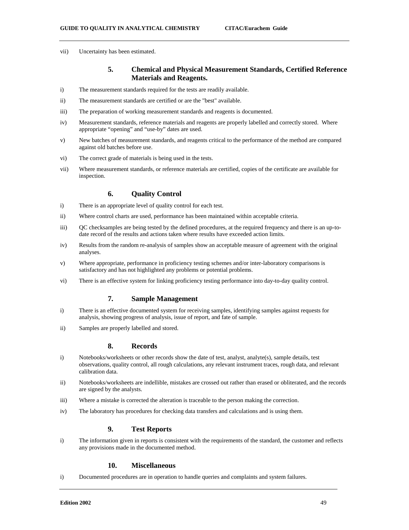vii) Uncertainty has been estimated.

#### **5. Chemical and Physical Measurement Standards, Certified Reference Materials and Reagents.**

- i) The measurement standards required for the tests are readily available.
- ii) The measurement standards are certified or are the "best" available.
- iii) The preparation of working measurement standards and reagents is documented.
- iv) Measurement standards, reference materials and reagents are properly labelled and correctly stored. Where appropriate "opening" and "use-by" dates are used.
- v) New batches of measurement standards, and reagents critical to the performance of the method are compared against old batches before use.
- vi) The correct grade of materials is being used in the tests.
- vii) Where measurement standards, or reference materials are certified, copies of the certificate are available for inspection.

#### **6. Quality Control**

- i) There is an appropriate level of quality control for each test.
- ii) Where control charts are used, performance has been maintained within acceptable criteria.
- iii) QC checksamples are being tested by the defined procedures, at the required frequency and there is an up-todate record of the results and actions taken where results have exceeded action limits.
- iv) Results from the random re-analysis of samples show an acceptable measure of agreement with the original analyses.
- v) Where appropriate, performance in proficiency testing schemes and/or inter-laboratory comparisons is satisfactory and has not highlighted any problems or potential problems.
- vi) There is an effective system for linking proficiency testing performance into day-to-day quality control.

#### **7. Sample Management**

- i) There is an effective documented system for receiving samples, identifying samples against requests for analysis, showing progress of analysis, issue of report, and fate of sample.
- ii) Samples are properly labelled and stored.

#### **8. Records**

- i) Notebooks/worksheets or other records show the date of test, analyst, analyte(s), sample details, test observations, quality control, all rough calculations, any relevant instrument traces, rough data, and relevant calibration data.
- ii) Notebooks/worksheets are indellible, mistakes are crossed out rather than erased or obliterated, and the records are signed by the analysts.
- iii) Where a mistake is corrected the alteration is traceable to the person making the correction.
- iv) The laboratory has procedures for checking data transfers and calculations and is using them.

#### **9. Test Reports**

i) The information given in reports is consistent with the requirements of the standard, the customer and reflects any provisions made in the documented method.

#### **10. Miscellaneous**

i) Documented procedures are in operation to handle queries and complaints and system failures.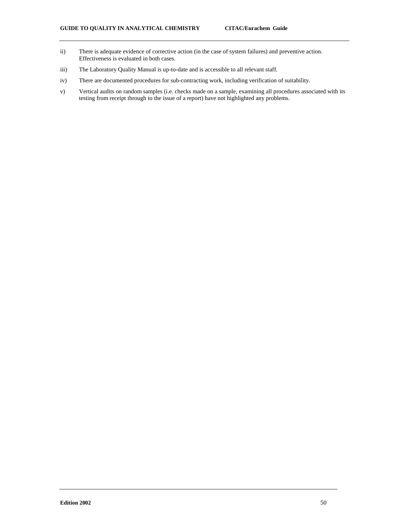- ii) There is adequate evidence of corrective action (in the case of system failures) and preventive action. Effectiveness is evaluated in both cases.
- iii) The Laboratory Quality Manual is up-to-date and is accessible to all relevant staff.
- iv) There are documented procedures for sub-contracting work, including verification of suitability.
- v) Vertical audits on random samples (i.e. checks made on a sample, examining all procedures associated with its testing from receipt through to the issue of a report) have not highlighted any problems.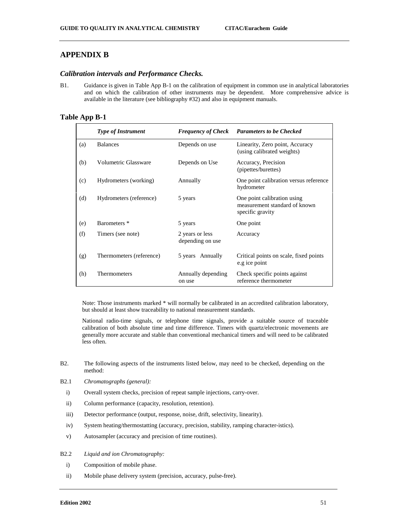#### **APPENDIX B**

#### *Calibration intervals and Performance Checks.*

B1. Guidance is given in Table App B-1 on the calibration of equipment in common use in analytical laboratories and on which the calibration of other instruments may be dependent. More comprehensive advice is available in the literature (see bibliography #32) and also in equipment manuals.

#### **Table App B-1**

|     | <b>Type of Instrument</b>   | <b>Frequency of Check</b>           | <b>Parameters to be Checked</b>                                                  |
|-----|-----------------------------|-------------------------------------|----------------------------------------------------------------------------------|
| (a) | <b>Balances</b>             | Depends on use                      | Linearity, Zero point, Accuracy<br>(using calibrated weights)                    |
| (b) | <b>Volumetric Glassware</b> | Depends on Use                      | Accuracy, Precision<br>(pipettes/burettes)                                       |
| (c) | Hydrometers (working)       | Annually                            | One point calibration versus reference<br>hydrometer                             |
| (d) | Hydrometers (reference)     | 5 years                             | One point calibration using<br>measurement standard of known<br>specific gravity |
| (e) | Barometers <sup>*</sup>     | 5 years                             | One point                                                                        |
| (f) | Timers (see note)           | 2 years or less<br>depending on use | Accuracy                                                                         |
| (g) | Thermometers (reference)    | 5 years Annually                    | Critical points on scale, fixed points<br>e.g ice point                          |
| (h) | Thermometers                | Annually depending<br>on use        | Check specific points against<br>reference thermometer                           |

Note: Those instruments marked \* will normally be calibrated in an accredited calibration laboratory, but should at least show traceability to national measurement standards.

National radio-time signals, or telephone time signals, provide a suitable source of traceable calibration of both absolute time and time difference. Timers with quartz/electronic movements are generally more accurate and stable than conventional mechanical timers and will need to be calibrated less often.

- B2. The following aspects of the instruments listed below, may need to be checked, depending on the method:
- B2.1 *Chromatographs (general):*
	- i) Overall system checks, precision of repeat sample injections, carry-over.
	- ii) Column performance (capacity, resolution, retention).
	- iii) Detector performance (output, response, noise, drift, selectivity, linearity).
	- iv) System heating/thermostatting (accuracy, precision, stability, ramping character-istics).
	- v) Autosampler (accuracy and precision of time routines).
- B2.2 *Liquid and ion Chromatography:*
	- i) Composition of mobile phase.
	- ii) Mobile phase delivery system (precision, accuracy, pulse-free).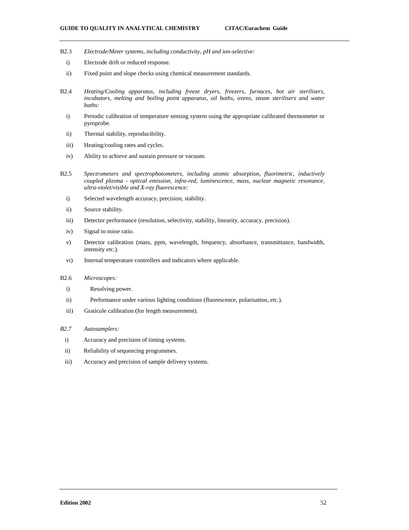- B2.3 *Electrode/Meter systems, including conductivity, pH and ion-selective:*
	- i) Electrode drift or reduced response.
	- ii) Fixed point and slope checks using chemical measurement standards.
- B2.4 *Heating/Cooling apparatus, including freeze dryers, freezers, furnaces, hot air sterilisers, incubators, melting and boiling point apparatus, oil baths, ovens, steam sterilisers and water baths:*
	- i) Periodic calibration of temperature sensing system using the appropriate calibrated thermometer or pyroprobe.
	- ii) Thermal stability, reproducibility.
	- iii) Heating/cooling rates and cycles.
	- iv) Ability to achieve and sustain pressure or vacuum.
- B2.5 *Spectrometers and spectrophotometers, including atomic absorption, fluorimetric, inductively coupled plasma - optical emission, infra-red, luminescence, mass, nuclear magnetic resonance, ultra-violet/visible and X-ray fluorescence:*
	- i) Selected wavelength accuracy, precision, stability.
	- ii) Source stability.
	- iii) Detector performance (resolution, selectivity, stability, linearity, accuracy, precision).
	- iv) Signal to noise ratio.
	- v) Detector calibration (mass, ppm, wavelength, frequency, absorbance, transmittance, bandwidth, intensity *et*c.).
	- vi) Internal temperature controllers and indicators where applicable.
- B2.6 *Microscopes:*
	- i) Resolving power.
	- ii) Performance under various lighting conditions (fluorescence, polarisation, *et*c.).
	- iii) Graticule calibration (for length measurement).

#### *B2.7 Autosamplers:*

- i) Accuracy and precision of timing systems.
- ii) Reliability of sequencing programmes.
- iii) Accuracy and precision of sample delivery systems.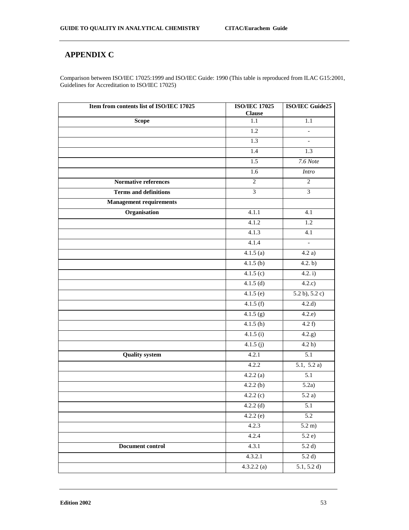## **APPENDIX C**

Comparison between ISO/IEC 17025:1999 and ISO/IEC Guide: 1990 (This table is reproduced from ILAC G15:2001, Guidelines for Accreditation to ISO/IEC 17025)

| Item from contents list of ISO/IEC 17025 | <b>ISO/IEC 17025</b>     | <b>ISO/IEC Guide25</b>   |
|------------------------------------------|--------------------------|--------------------------|
|                                          | <b>Clause</b>            |                          |
| <b>Scope</b>                             | 1.1                      | $1.1\,$                  |
|                                          | 1.2                      | $\overline{\phantom{a}}$ |
|                                          | 1.3                      | $\overline{\phantom{a}}$ |
|                                          | 1.4                      | 1.3                      |
|                                          | 1.5                      | 7.6 Note                 |
|                                          | 1.6                      | <b>Intro</b>             |
| <b>Normative references</b>              | $\overline{c}$           | $\overline{2}$           |
| <b>Terms and definitions</b>             | $\overline{\mathbf{3}}$  | $\overline{\mathbf{3}}$  |
| <b>Management requirements</b>           |                          |                          |
| Organisation                             | 4.1.1                    | 4.1                      |
|                                          | 4.1.2                    | 1.2                      |
|                                          | 4.1.3                    | 4.1                      |
|                                          | 4.1.4                    |                          |
|                                          | 4.1.5(a)                 | 4.2a)                    |
|                                          | 4.1.5(b)                 | 4.2. b)                  |
|                                          | 4.1.5(c)                 | 4.2. i)                  |
|                                          | $4.1.5$ (d)              | 4.2.c)                   |
|                                          | 4.1.5 ( $\overline{e}$ ) | $5.2 b$ , $5.2 c$ )      |
|                                          | 4.1.5(f)                 | 4.2.d)                   |
|                                          | 4.1.5(g)                 | 4.2.e)                   |
|                                          | 4.1.5(h)                 | 4.2 f                    |
|                                          | 4.1.5(i)                 | 4.2(g)                   |
|                                          | 4.1.5(j)                 | $4.2 h$ )                |
| <b>Quality system</b>                    | 4.2.1                    | $\overline{5.1}$         |
|                                          | 4.2.2                    | 5.1, 5.2 a)              |
|                                          | 4.2.2(a)                 | 5.1                      |
|                                          | 4.2.2(b)                 | 5.2a)                    |
|                                          | 4.2.2(c)                 | 5.2a)                    |
|                                          | $4.2.2$ (d)              | 5.1                      |
|                                          | $4.2.2$ (e)              | 5.2                      |
|                                          | 4.2.3                    | $5.2 \text{ m}$ )        |
|                                          | 4.2.4                    | 5.2 e)                   |
| <b>Document control</b>                  | 4.3.1                    | 5.2 d)                   |
|                                          | 4.3.2.1                  | 5.2 d)                   |
|                                          | 4.3.2.2(a)               | 5.1, 5.2 d               |
|                                          |                          |                          |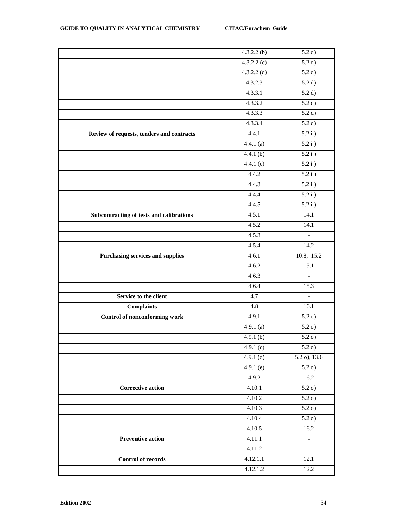|                                           | $4.3.2.2$ (b) | 5.2 d)                   |
|-------------------------------------------|---------------|--------------------------|
|                                           | 4.3.2.2(c)    | 5.2 d)                   |
|                                           | $4.3.2.2$ (d) | 5.2 d)                   |
|                                           | 4.3.2.3       | 5.2 d)                   |
|                                           | 4.3.3.1       | 5.2 d)                   |
|                                           | 4.3.3.2       | 5.2 d)                   |
|                                           | 4.3.3.3       | 5.2 d)                   |
|                                           | 4.3.3.4       | 5.2 d)                   |
| Review of requests, tenders and contracts | 4.4.1         | 5.2 i)                   |
|                                           | 4.4.1(a)      | 5.2 i)                   |
|                                           | 4.4.1(b)      | 5.2 i)                   |
|                                           | 4.4.1 $(c)$   | 5.2 i)                   |
|                                           | 4.4.2         | 5.2 i)                   |
|                                           | 4.4.3         | 5.2i)                    |
|                                           | 4.4.4         | 5.2 i)                   |
|                                           | 4.4.5         | 5.2i)                    |
| Subcontracting of tests and calibrations  | 4.5.1         | 14.1                     |
|                                           | 4.5.2         | 14.1                     |
|                                           | 4.5.3         | $\overline{\phantom{a}}$ |
|                                           | 4.5.4         | 14.2                     |
| Purchasing services and supplies          | 4.6.1         | 10.8, 15.2               |
|                                           | 4.6.2         | 15.1                     |
|                                           | 4.6.3         | $\bar{\phantom{a}}$      |
|                                           | 4.6.4         | 15.3                     |
| Service to the client                     | 4.7           | $\overline{\phantom{a}}$ |
| <b>Complaints</b>                         | 4.8           | 16.1                     |
| Control of nonconforming work             | 4.9.1         | 5.2o)                    |
|                                           | 4.9.1(a)      | 5.2 o)                   |
|                                           | 4.9.1(b)      | $5.2$ o)                 |
|                                           | 4.9.1(c)      | 5.2o)                    |
|                                           | 4.9.1 $(d)$   | 5.2 o), 13.6             |
|                                           | 4.9.1(e)      | 5.2o)                    |
|                                           | 4.9.2         | 16.2                     |
| <b>Corrective action</b>                  | 4.10.1        | 5.2o)                    |
|                                           | 4.10.2        | 5.2 o)                   |
|                                           | 4.10.3        | 5.2 o)                   |
|                                           | 4.10.4        | 5.2o)                    |
|                                           | 4.10.5        | 16.2                     |
| <b>Preventive action</b>                  | 4.11.1        | $\frac{1}{2}$            |
|                                           | 4.11.2        | $\blacksquare$           |
| <b>Control of records</b>                 | 4.12.1.1      | 12.1                     |
|                                           |               |                          |
|                                           | 4.12.1.2      | 12.2                     |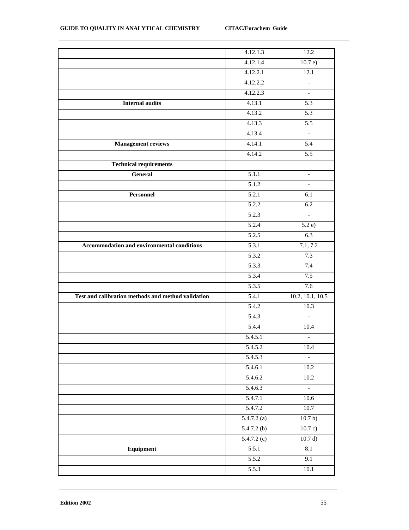|                                                    | 4.12.1.3           | 12.2                     |
|----------------------------------------------------|--------------------|--------------------------|
|                                                    | 4.12.1.4           | 10.7 e)                  |
|                                                    | 4.12.2.1           | 12.1                     |
|                                                    | 4.12.2.2           | $\blacksquare$           |
|                                                    | 4.12.2.3           | $\frac{1}{2}$            |
| <b>Internal audits</b>                             | 4.13.1             | 5.3                      |
|                                                    | 4.13.2             | 5.3                      |
|                                                    | 4.13.3             | 5.5                      |
|                                                    | 4.13.4             | $\blacksquare$           |
| <b>Management reviews</b>                          | 4.14.1             | $\overline{5.4}$         |
|                                                    | 4.14.2             | 5.5                      |
| <b>Technical requirements</b>                      |                    |                          |
| <b>General</b>                                     | 5.1.1              | $\overline{\phantom{a}}$ |
|                                                    | $\overline{5.1.2}$ | $\Box$                   |
| Personnel                                          | 5.2.1              | 6.1                      |
|                                                    | 5.2.2              | 6.2                      |
|                                                    | 5.2.3              | $\Box$                   |
|                                                    | 5.2.4              | 5.2 e)                   |
|                                                    | 5.2.5              | 6.3                      |
| Accommodation and environmental conditions         | 5.3.1              | 7.1, 7.2                 |
|                                                    | 5.3.2              | 7.3                      |
|                                                    | $\overline{5.3.3}$ | 7.4                      |
|                                                    | 5.3.4              | 7.5                      |
|                                                    | 5.3.5              | 7.6                      |
| Test and calibration methods and method validation | 5.4.1              | 10.2, 10.1, 10.5         |
|                                                    | 5.4.2              | 10.3                     |
|                                                    | 5.4.3              | $\overline{\phantom{a}}$ |
|                                                    | 5.4.4              | 10.4                     |
|                                                    | 5.4.5.1            | $\overline{\phantom{0}}$ |
|                                                    | 5.4.5.2            | 10.4                     |
|                                                    | 5.4.5.3            |                          |
|                                                    | 5.4.6.1            | 10.2                     |
|                                                    | 5.4.6.2            | 10.2                     |
|                                                    | 5.4.6.3            | $\blacksquare$           |
|                                                    | 5.4.7.1            | 10.6                     |
|                                                    | 5.4.7.2            | 10.7                     |
|                                                    | 5.4.7.2(a)         | 10.7 b)                  |
|                                                    | 5.4.7.2(b)         | 10.7 c)                  |
|                                                    | $5.4.7.2$ (c)      | 10.7 d                   |
|                                                    | 5.5.1              | 8.1                      |
| Equipment                                          | 5.5.2              | 9.1                      |
|                                                    |                    |                          |
|                                                    | 5.5.3              | 10.1                     |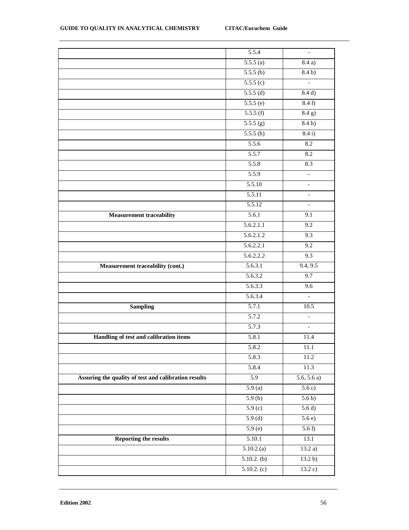|                                                      | 5.5.4            | $\overline{a}$           |
|------------------------------------------------------|------------------|--------------------------|
|                                                      | 5.5.5(a)         | 8.4a)                    |
|                                                      | 5.5.5(b)         | 8.4 b)                   |
|                                                      | 5.5.5(c)         | $\bar{\phantom{a}}$      |
|                                                      | 5.5.5(d)         | 8.4 d)                   |
|                                                      | 5.5.5(e)         | 8.4 f                    |
|                                                      | 5.5.5(f)         | 8.4g)                    |
|                                                      | 5.5.5(g)         | 8.4h)                    |
|                                                      | 5.5.5(h)         | $\sqrt{8.4 i}$           |
|                                                      | 5.5.6            | 8.2                      |
|                                                      | 5.5.7            | 8.2                      |
|                                                      | 5.5.8            | 8.3                      |
|                                                      | 5.5.9            | $\blacksquare$           |
|                                                      | 5.5.10           |                          |
|                                                      | 5.5.11           | $\overline{\phantom{a}}$ |
|                                                      | 5.5.12           | $\overline{a}$           |
| <b>Measurement traceability</b>                      | 5.6.1            | 9.1                      |
|                                                      | 5.6.2.1.1        | 9.2                      |
|                                                      | 5.6.2.1.2        | 9.3                      |
|                                                      | 5.6.2.2.1        | 9.2                      |
|                                                      | 5.6.2.2.2        | 9.3                      |
| Measurement traceability (cont.)                     | 5.6.3.1          | 9.4, 9.5                 |
|                                                      | 5.6.3.2          | 9.7                      |
|                                                      | 5.6.3.3          | 9.6                      |
|                                                      | 5.6.3.4          | $\frac{1}{2}$            |
| <b>Sampling</b>                                      | 5.7.1            | 10.5                     |
|                                                      | 5.7.2            | $\overline{a}$           |
|                                                      | 5.7.3            | $\overline{\phantom{a}}$ |
| Handling of test and calibration items               | 5.8.1            | 11.4                     |
|                                                      |                  |                          |
|                                                      | 5.8.2<br>5.8.3   | 11.1<br>11.2             |
|                                                      | 5.8.4            | 11.3                     |
| Assuring the quality of test and calibration results | $\overline{5.9}$ | 5.6, 5.6 a)              |
|                                                      | 5.9(a)           | 5.6c                     |
|                                                      |                  |                          |
|                                                      | 5.9(b)           | 5.6 <sub>b</sub>         |
|                                                      | 5.9(c)           | 5.6d)                    |
|                                                      | 5.9(d)           | 5.6e                     |
|                                                      | 5.9(e)           | 5.6f                     |
| <b>Reporting the results</b>                         | 5.10.1           | 13.1                     |
|                                                      | 5.10.2(a)        | 13.2 a)                  |
|                                                      | $5.10.2.$ (b)    | 13.2 b)                  |
|                                                      | 5.10.2(c)        | 13.2 c)                  |